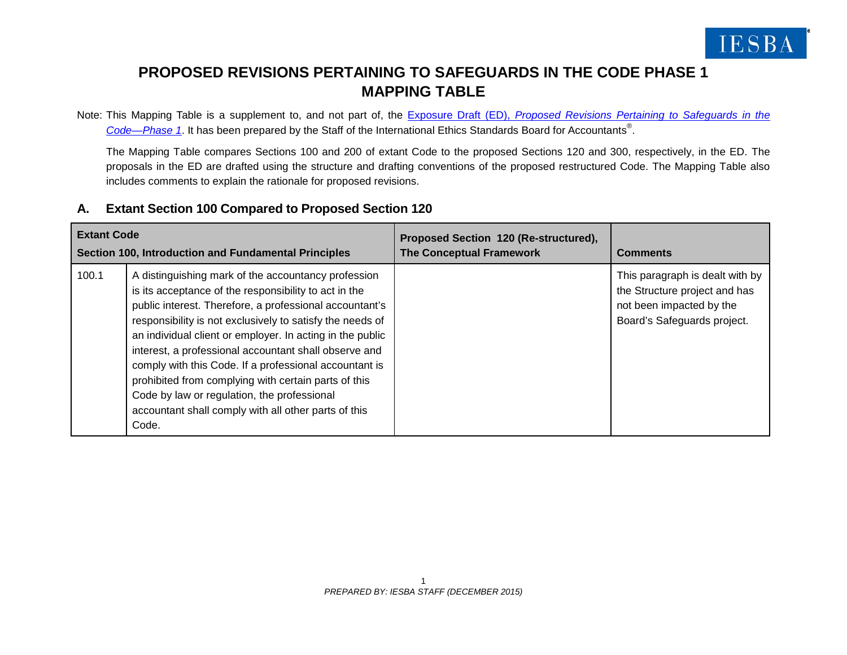

## **PROPOSED REVISIONS PERTAINING TO SAFEGUARDS IN THE CODE PHASE 1 MAPPING TABLE**

Note: This Mapping Table is a supplement to, and not part of, the Exposure Draft (ED), *[Proposed Revisions Pertaining to Safeguards in the](https://www.ifac.org/publications-resources/proposed-revisions-pertaining-safeguards-code-phase-1)  [Code—Phase 1](https://www.ifac.org/publications-resources/proposed-revisions-pertaining-safeguards-code-phase-1)*. It has been prepared by the Staff of the International Ethics Standards Board for Accountants® .

The Mapping Table compares Sections 100 and 200 of extant Code to the proposed Sections 120 and 300, respectively, in the ED. The proposals in the ED are drafted using the structure and drafting conventions of the proposed restructured Code. The Mapping Table also includes comments to explain the rationale for proposed revisions.

## **A. Extant Section 100 Compared to Proposed Section 120**

| <b>Extant Code</b><br>Section 100, Introduction and Fundamental Principles |                                                                                                                                                                                                                                                                                                                                                                                                                                                                                                                                                                                              | Proposed Section 120 (Re-structured),<br><b>The Conceptual Framework</b> | <b>Comments</b>                                                                                                             |
|----------------------------------------------------------------------------|----------------------------------------------------------------------------------------------------------------------------------------------------------------------------------------------------------------------------------------------------------------------------------------------------------------------------------------------------------------------------------------------------------------------------------------------------------------------------------------------------------------------------------------------------------------------------------------------|--------------------------------------------------------------------------|-----------------------------------------------------------------------------------------------------------------------------|
| 100.1                                                                      | A distinguishing mark of the accountancy profession<br>is its acceptance of the responsibility to act in the<br>public interest. Therefore, a professional accountant's<br>responsibility is not exclusively to satisfy the needs of<br>an individual client or employer. In acting in the public<br>interest, a professional accountant shall observe and<br>comply with this Code. If a professional accountant is<br>prohibited from complying with certain parts of this<br>Code by law or regulation, the professional<br>accountant shall comply with all other parts of this<br>Code. |                                                                          | This paragraph is dealt with by<br>the Structure project and has<br>not been impacted by the<br>Board's Safeguards project. |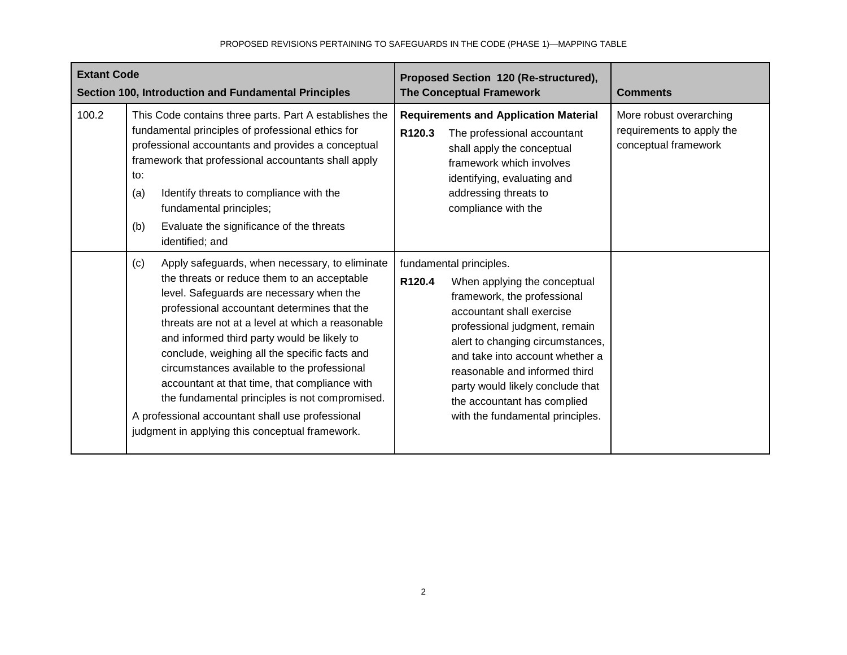| <b>Extant Code</b><br>Section 100, Introduction and Fundamental Principles |                                                                                                                                                                                                                                                                                                                                                                                                                                                                                                                                                                                                              | Proposed Section 120 (Re-structured),<br><b>The Conceptual Framework</b>                                                                                                                                                                                                                                                                                                                  | <b>Comments</b>                                                              |
|----------------------------------------------------------------------------|--------------------------------------------------------------------------------------------------------------------------------------------------------------------------------------------------------------------------------------------------------------------------------------------------------------------------------------------------------------------------------------------------------------------------------------------------------------------------------------------------------------------------------------------------------------------------------------------------------------|-------------------------------------------------------------------------------------------------------------------------------------------------------------------------------------------------------------------------------------------------------------------------------------------------------------------------------------------------------------------------------------------|------------------------------------------------------------------------------|
| 100.2                                                                      | This Code contains three parts. Part A establishes the<br>fundamental principles of professional ethics for<br>professional accountants and provides a conceptual<br>framework that professional accountants shall apply<br>to:<br>Identify threats to compliance with the<br>(a)<br>fundamental principles;<br>Evaluate the significance of the threats<br>(b)<br>identified; and                                                                                                                                                                                                                           | <b>Requirements and Application Material</b><br>R120.3<br>The professional accountant<br>shall apply the conceptual<br>framework which involves<br>identifying, evaluating and<br>addressing threats to<br>compliance with the                                                                                                                                                            | More robust overarching<br>requirements to apply the<br>conceptual framework |
|                                                                            | Apply safeguards, when necessary, to eliminate<br>(c)<br>the threats or reduce them to an acceptable<br>level. Safeguards are necessary when the<br>professional accountant determines that the<br>threats are not at a level at which a reasonable<br>and informed third party would be likely to<br>conclude, weighing all the specific facts and<br>circumstances available to the professional<br>accountant at that time, that compliance with<br>the fundamental principles is not compromised.<br>A professional accountant shall use professional<br>judgment in applying this conceptual framework. | fundamental principles.<br>R <sub>120.4</sub><br>When applying the conceptual<br>framework, the professional<br>accountant shall exercise<br>professional judgment, remain<br>alert to changing circumstances,<br>and take into account whether a<br>reasonable and informed third<br>party would likely conclude that<br>the accountant has complied<br>with the fundamental principles. |                                                                              |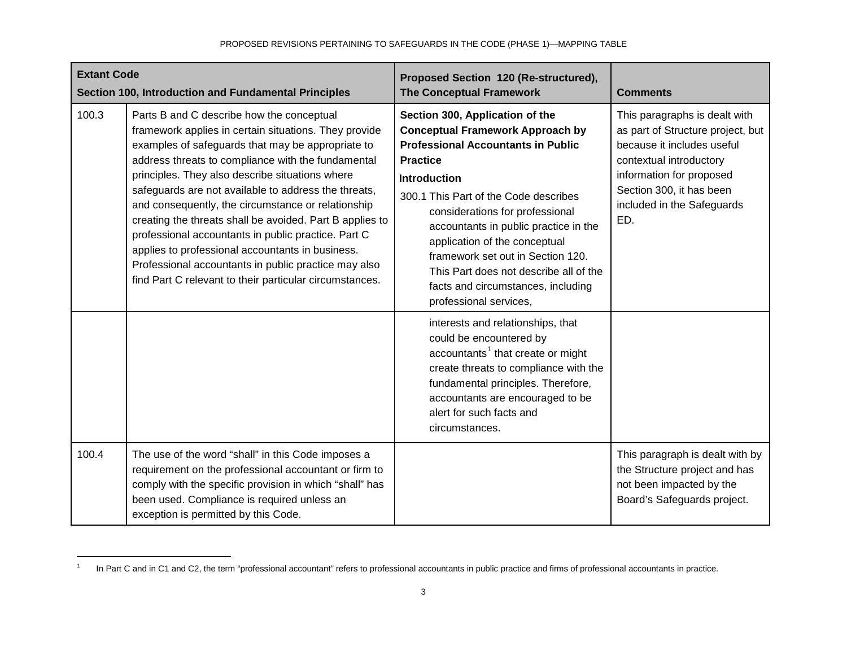<span id="page-2-0"></span>

| <b>Extant Code</b><br>Section 100, Introduction and Fundamental Principles |                                                                                                                                                                                                                                                                                                                                                                                                                                                                                                                                                                                                                                                                          | Proposed Section 120 (Re-structured),<br><b>The Conceptual Framework</b>                                                                                                                                                                                                                                                                                                                                                                                               | <b>Comments</b>                                                                                                                                                                                                          |
|----------------------------------------------------------------------------|--------------------------------------------------------------------------------------------------------------------------------------------------------------------------------------------------------------------------------------------------------------------------------------------------------------------------------------------------------------------------------------------------------------------------------------------------------------------------------------------------------------------------------------------------------------------------------------------------------------------------------------------------------------------------|------------------------------------------------------------------------------------------------------------------------------------------------------------------------------------------------------------------------------------------------------------------------------------------------------------------------------------------------------------------------------------------------------------------------------------------------------------------------|--------------------------------------------------------------------------------------------------------------------------------------------------------------------------------------------------------------------------|
| 100.3                                                                      | Parts B and C describe how the conceptual<br>framework applies in certain situations. They provide<br>examples of safeguards that may be appropriate to<br>address threats to compliance with the fundamental<br>principles. They also describe situations where<br>safeguards are not available to address the threats,<br>and consequently, the circumstance or relationship<br>creating the threats shall be avoided. Part B applies to<br>professional accountants in public practice. Part C<br>applies to professional accountants in business.<br>Professional accountants in public practice may also<br>find Part C relevant to their particular circumstances. | Section 300, Application of the<br><b>Conceptual Framework Approach by</b><br><b>Professional Accountants in Public</b><br><b>Practice</b><br><b>Introduction</b><br>300.1 This Part of the Code describes<br>considerations for professional<br>accountants in public practice in the<br>application of the conceptual<br>framework set out in Section 120.<br>This Part does not describe all of the<br>facts and circumstances, including<br>professional services, | This paragraphs is dealt with<br>as part of Structure project, but<br>because it includes useful<br>contextual introductory<br>information for proposed<br>Section 300, it has been<br>included in the Safeguards<br>ED. |
|                                                                            |                                                                                                                                                                                                                                                                                                                                                                                                                                                                                                                                                                                                                                                                          | interests and relationships, that<br>could be encountered by<br>accountants <sup>1</sup> that create or might<br>create threats to compliance with the<br>fundamental principles. Therefore,<br>accountants are encouraged to be<br>alert for such facts and<br>circumstances.                                                                                                                                                                                         |                                                                                                                                                                                                                          |
| 100.4                                                                      | The use of the word "shall" in this Code imposes a<br>requirement on the professional accountant or firm to<br>comply with the specific provision in which "shall" has<br>been used. Compliance is required unless an<br>exception is permitted by this Code.                                                                                                                                                                                                                                                                                                                                                                                                            |                                                                                                                                                                                                                                                                                                                                                                                                                                                                        | This paragraph is dealt with by<br>the Structure project and has<br>not been impacted by the<br>Board's Safeguards project.                                                                                              |

<sup>&</sup>lt;sup>1</sup> In Part C and in C1 and C2, the term "professional accountant" refers to professional accountants in public practice and firms of professional accountants in practice.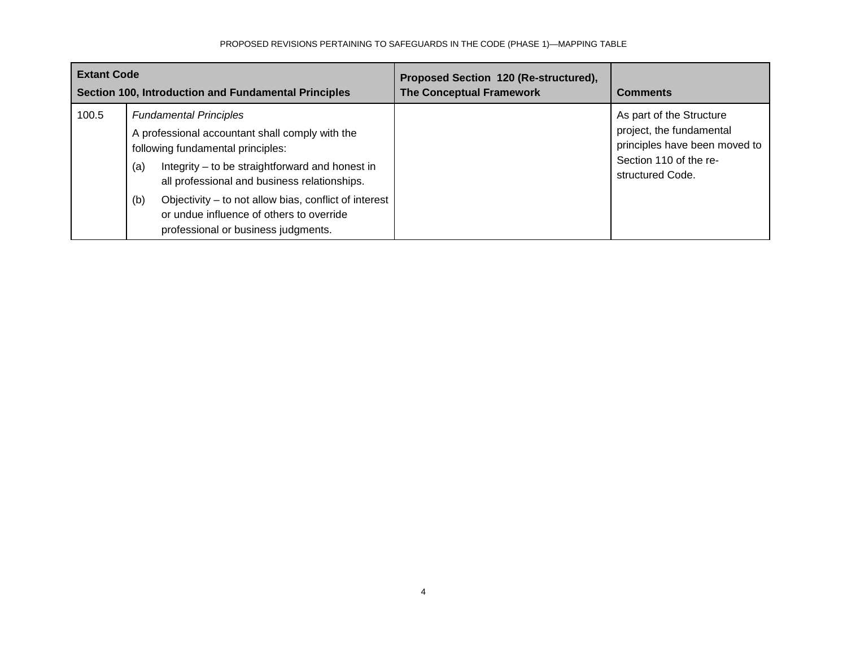| <b>Extant Code</b><br>Section 100, Introduction and Fundamental Principles |                                                                                                                                                                                                                                                                                                                                                                                    | Proposed Section 120 (Re-structured),<br><b>The Conceptual Framework</b> | <b>Comments</b>                                                                                                                     |
|----------------------------------------------------------------------------|------------------------------------------------------------------------------------------------------------------------------------------------------------------------------------------------------------------------------------------------------------------------------------------------------------------------------------------------------------------------------------|--------------------------------------------------------------------------|-------------------------------------------------------------------------------------------------------------------------------------|
| 100.5                                                                      | <b>Fundamental Principles</b><br>A professional accountant shall comply with the<br>following fundamental principles:<br>Integrity – to be straightforward and honest in<br>(a)<br>all professional and business relationships.<br>Objectivity - to not allow bias, conflict of interest<br>(b)<br>or undue influence of others to override<br>professional or business judgments. |                                                                          | As part of the Structure<br>project, the fundamental<br>principles have been moved to<br>Section 110 of the re-<br>structured Code. |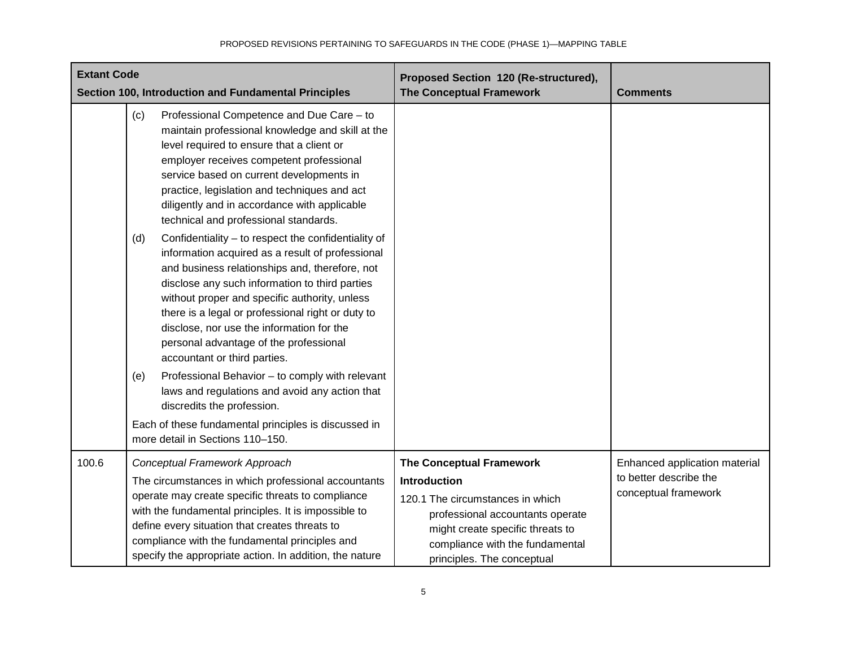| <b>Extant Code</b><br>Section 100, Introduction and Fundamental Principles |                   |                                                                                                                                                                                                                                                                                                                                                                                                                                                                                                                                                                                                                                                                                                                                                                                                                                                                                                                              | Proposed Section 120 (Re-structured),<br><b>The Conceptual Framework</b>                                                                                                                                                     | <b>Comments</b>                                                                 |
|----------------------------------------------------------------------------|-------------------|------------------------------------------------------------------------------------------------------------------------------------------------------------------------------------------------------------------------------------------------------------------------------------------------------------------------------------------------------------------------------------------------------------------------------------------------------------------------------------------------------------------------------------------------------------------------------------------------------------------------------------------------------------------------------------------------------------------------------------------------------------------------------------------------------------------------------------------------------------------------------------------------------------------------------|------------------------------------------------------------------------------------------------------------------------------------------------------------------------------------------------------------------------------|---------------------------------------------------------------------------------|
|                                                                            | (c)<br>(d)<br>(e) | Professional Competence and Due Care - to<br>maintain professional knowledge and skill at the<br>level required to ensure that a client or<br>employer receives competent professional<br>service based on current developments in<br>practice, legislation and techniques and act<br>diligently and in accordance with applicable<br>technical and professional standards.<br>Confidentiality - to respect the confidentiality of<br>information acquired as a result of professional<br>and business relationships and, therefore, not<br>disclose any such information to third parties<br>without proper and specific authority, unless<br>there is a legal or professional right or duty to<br>disclose, nor use the information for the<br>personal advantage of the professional<br>accountant or third parties.<br>Professional Behavior - to comply with relevant<br>laws and regulations and avoid any action that |                                                                                                                                                                                                                              |                                                                                 |
|                                                                            |                   | discredits the profession.                                                                                                                                                                                                                                                                                                                                                                                                                                                                                                                                                                                                                                                                                                                                                                                                                                                                                                   |                                                                                                                                                                                                                              |                                                                                 |
|                                                                            |                   | Each of these fundamental principles is discussed in<br>more detail in Sections 110-150.                                                                                                                                                                                                                                                                                                                                                                                                                                                                                                                                                                                                                                                                                                                                                                                                                                     |                                                                                                                                                                                                                              |                                                                                 |
| 100.6                                                                      |                   | Conceptual Framework Approach<br>The circumstances in which professional accountants<br>operate may create specific threats to compliance<br>with the fundamental principles. It is impossible to<br>define every situation that creates threats to<br>compliance with the fundamental principles and<br>specify the appropriate action. In addition, the nature                                                                                                                                                                                                                                                                                                                                                                                                                                                                                                                                                             | <b>The Conceptual Framework</b><br>Introduction<br>120.1 The circumstances in which<br>professional accountants operate<br>might create specific threats to<br>compliance with the fundamental<br>principles. The conceptual | Enhanced application material<br>to better describe the<br>conceptual framework |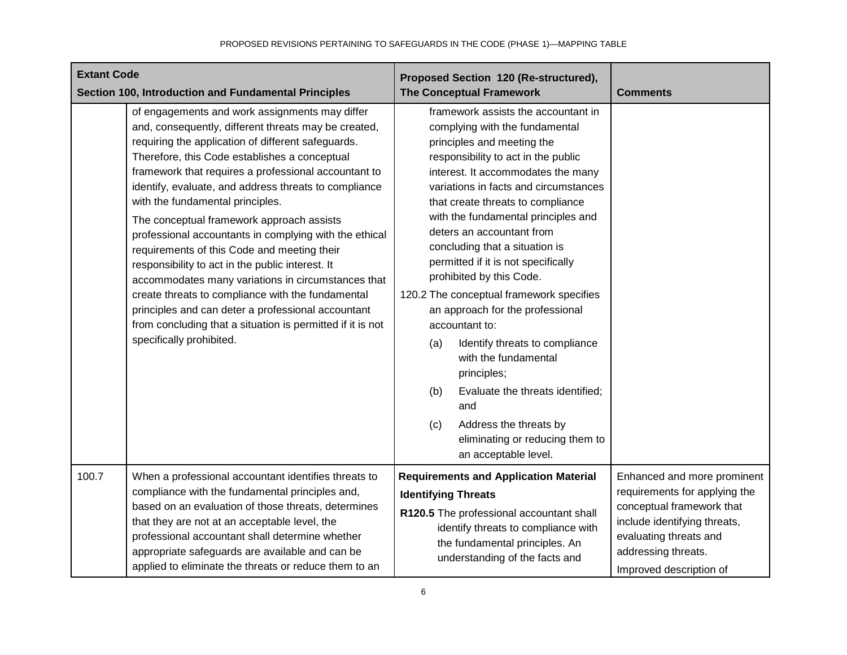| <b>Extant Code</b><br>Section 100, Introduction and Fundamental Principles |                                                                                                                                                                                                                                                                                                                                                                                                                                                                                                                                                                                                                                                                                                                                                                                                                                         | Proposed Section 120 (Re-structured),<br><b>The Conceptual Framework</b>                                                                                                                                                                                                                                                                                                                                                                                                                                                                                                                                                                                                                                                                                                | <b>Comments</b>                                                                                                                                                                                       |
|----------------------------------------------------------------------------|-----------------------------------------------------------------------------------------------------------------------------------------------------------------------------------------------------------------------------------------------------------------------------------------------------------------------------------------------------------------------------------------------------------------------------------------------------------------------------------------------------------------------------------------------------------------------------------------------------------------------------------------------------------------------------------------------------------------------------------------------------------------------------------------------------------------------------------------|-------------------------------------------------------------------------------------------------------------------------------------------------------------------------------------------------------------------------------------------------------------------------------------------------------------------------------------------------------------------------------------------------------------------------------------------------------------------------------------------------------------------------------------------------------------------------------------------------------------------------------------------------------------------------------------------------------------------------------------------------------------------------|-------------------------------------------------------------------------------------------------------------------------------------------------------------------------------------------------------|
|                                                                            | of engagements and work assignments may differ<br>and, consequently, different threats may be created,<br>requiring the application of different safeguards.<br>Therefore, this Code establishes a conceptual<br>framework that requires a professional accountant to<br>identify, evaluate, and address threats to compliance<br>with the fundamental principles.<br>The conceptual framework approach assists<br>professional accountants in complying with the ethical<br>requirements of this Code and meeting their<br>responsibility to act in the public interest. It<br>accommodates many variations in circumstances that<br>create threats to compliance with the fundamental<br>principles and can deter a professional accountant<br>from concluding that a situation is permitted if it is not<br>specifically prohibited. | framework assists the accountant in<br>complying with the fundamental<br>principles and meeting the<br>responsibility to act in the public<br>interest. It accommodates the many<br>variations in facts and circumstances<br>that create threats to compliance<br>with the fundamental principles and<br>deters an accountant from<br>concluding that a situation is<br>permitted if it is not specifically<br>prohibited by this Code.<br>120.2 The conceptual framework specifies<br>an approach for the professional<br>accountant to:<br>Identify threats to compliance<br>(a)<br>with the fundamental<br>principles;<br>(b)<br>Evaluate the threats identified;<br>and<br>Address the threats by<br>(c)<br>eliminating or reducing them to<br>an acceptable level. |                                                                                                                                                                                                       |
| 100.7                                                                      | When a professional accountant identifies threats to<br>compliance with the fundamental principles and,<br>based on an evaluation of those threats, determines<br>that they are not at an acceptable level, the<br>professional accountant shall determine whether<br>appropriate safeguards are available and can be<br>applied to eliminate the threats or reduce them to an                                                                                                                                                                                                                                                                                                                                                                                                                                                          | <b>Requirements and Application Material</b><br><b>Identifying Threats</b><br>R120.5 The professional accountant shall<br>identify threats to compliance with<br>the fundamental principles. An<br>understanding of the facts and                                                                                                                                                                                                                                                                                                                                                                                                                                                                                                                                       | Enhanced and more prominent<br>requirements for applying the<br>conceptual framework that<br>include identifying threats,<br>evaluating threats and<br>addressing threats.<br>Improved description of |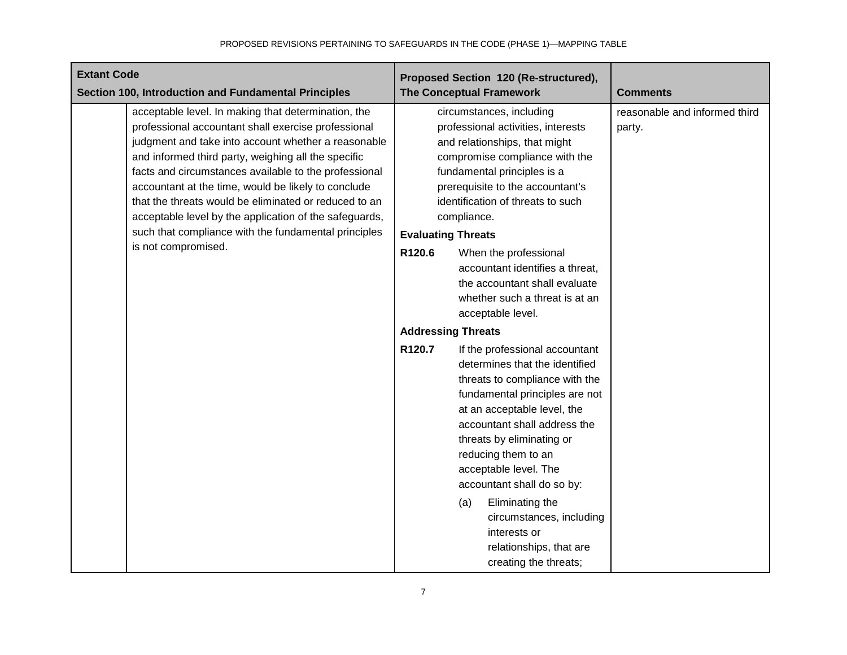| <b>Extant Code</b><br>Section 100, Introduction and Fundamental Principles                                                                                                                                                                                                                                                                                                                                                                                                                                                                 | Proposed Section 120 (Re-structured),<br><b>The Conceptual Framework</b>                                                                                                                                                                                                                                                                                                                                                                                                                                                                                                                                                                                                                                                                                                                                                                                                                                                               | <b>Comments</b>                         |
|--------------------------------------------------------------------------------------------------------------------------------------------------------------------------------------------------------------------------------------------------------------------------------------------------------------------------------------------------------------------------------------------------------------------------------------------------------------------------------------------------------------------------------------------|----------------------------------------------------------------------------------------------------------------------------------------------------------------------------------------------------------------------------------------------------------------------------------------------------------------------------------------------------------------------------------------------------------------------------------------------------------------------------------------------------------------------------------------------------------------------------------------------------------------------------------------------------------------------------------------------------------------------------------------------------------------------------------------------------------------------------------------------------------------------------------------------------------------------------------------|-----------------------------------------|
| acceptable level. In making that determination, the<br>professional accountant shall exercise professional<br>judgment and take into account whether a reasonable<br>and informed third party, weighing all the specific<br>facts and circumstances available to the professional<br>accountant at the time, would be likely to conclude<br>that the threats would be eliminated or reduced to an<br>acceptable level by the application of the safeguards,<br>such that compliance with the fundamental principles<br>is not compromised. | circumstances, including<br>professional activities, interests<br>and relationships, that might<br>compromise compliance with the<br>fundamental principles is a<br>prerequisite to the accountant's<br>identification of threats to such<br>compliance.<br><b>Evaluating Threats</b><br>R120.6<br>When the professional<br>accountant identifies a threat,<br>the accountant shall evaluate<br>whether such a threat is at an<br>acceptable level.<br><b>Addressing Threats</b><br>R120.7<br>If the professional accountant<br>determines that the identified<br>threats to compliance with the<br>fundamental principles are not<br>at an acceptable level, the<br>accountant shall address the<br>threats by eliminating or<br>reducing them to an<br>acceptable level. The<br>accountant shall do so by:<br>Eliminating the<br>(a)<br>circumstances, including<br>interests or<br>relationships, that are<br>creating the threats; | reasonable and informed third<br>party. |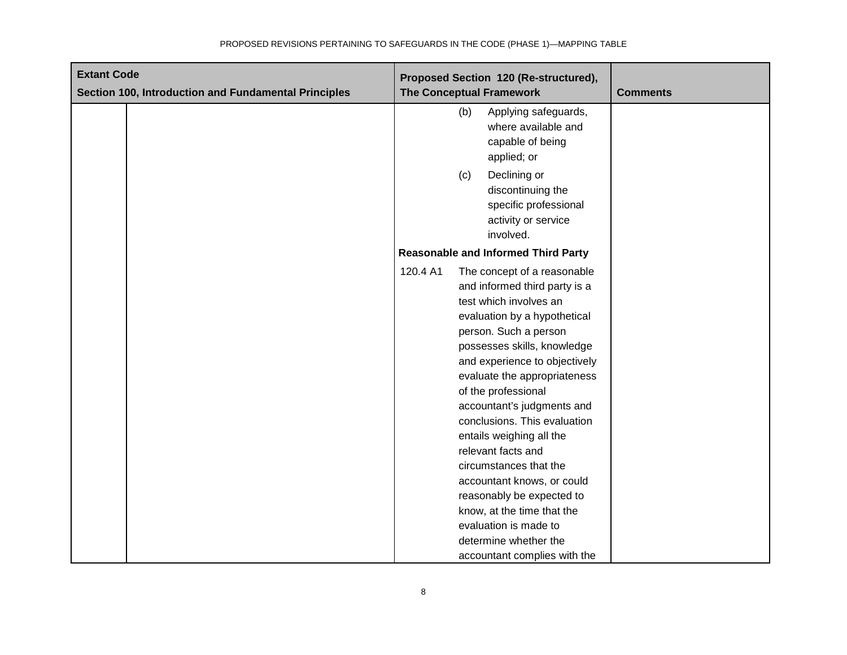| <b>Extant Code</b>                                   | Proposed Section 120 (Re-structured),                                                                                                                                                                                                                                                                                                                                                                                                                                                                                                                                                                   |                 |
|------------------------------------------------------|---------------------------------------------------------------------------------------------------------------------------------------------------------------------------------------------------------------------------------------------------------------------------------------------------------------------------------------------------------------------------------------------------------------------------------------------------------------------------------------------------------------------------------------------------------------------------------------------------------|-----------------|
| Section 100, Introduction and Fundamental Principles | <b>The Conceptual Framework</b>                                                                                                                                                                                                                                                                                                                                                                                                                                                                                                                                                                         | <b>Comments</b> |
|                                                      | Applying safeguards,<br>(b)<br>where available and<br>capable of being<br>applied; or                                                                                                                                                                                                                                                                                                                                                                                                                                                                                                                   |                 |
|                                                      | Declining or<br>(c)<br>discontinuing the<br>specific professional<br>activity or service<br>involved.                                                                                                                                                                                                                                                                                                                                                                                                                                                                                                   |                 |
|                                                      | <b>Reasonable and Informed Third Party</b>                                                                                                                                                                                                                                                                                                                                                                                                                                                                                                                                                              |                 |
|                                                      | 120.4 A1<br>The concept of a reasonable<br>and informed third party is a<br>test which involves an<br>evaluation by a hypothetical<br>person. Such a person<br>possesses skills, knowledge<br>and experience to objectively<br>evaluate the appropriateness<br>of the professional<br>accountant's judgments and<br>conclusions. This evaluation<br>entails weighing all the<br>relevant facts and<br>circumstances that the<br>accountant knows, or could<br>reasonably be expected to<br>know, at the time that the<br>evaluation is made to<br>determine whether the<br>accountant complies with the |                 |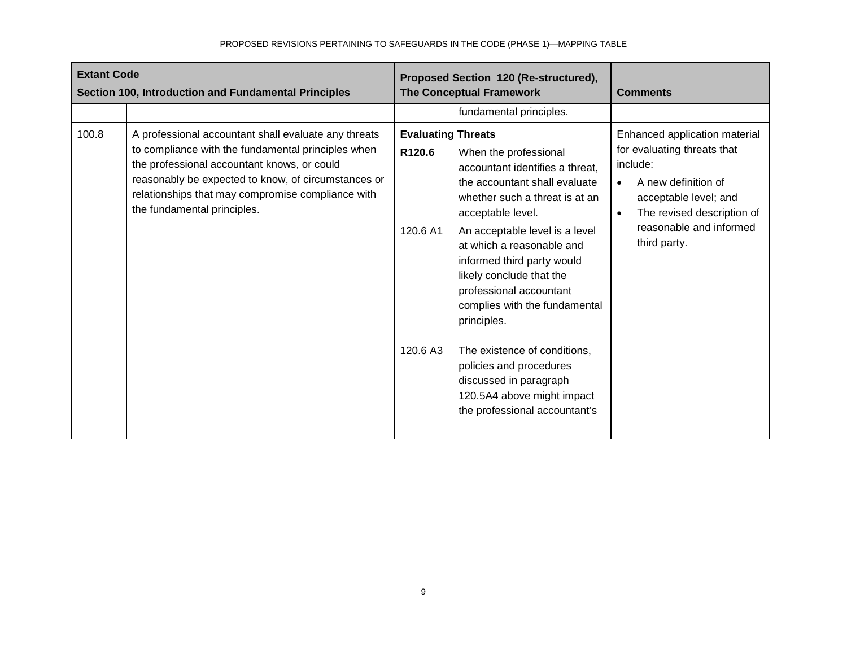| <b>Extant Code</b><br>Section 100, Introduction and Fundamental Principles |                                                                                                                                                                                                                                                                                                      | Proposed Section 120 (Re-structured),<br><b>The Conceptual Framework</b> |                                                                                                                                                                                                                                                                                                                                                      | <b>Comments</b>                                                                                                                                                                                   |
|----------------------------------------------------------------------------|------------------------------------------------------------------------------------------------------------------------------------------------------------------------------------------------------------------------------------------------------------------------------------------------------|--------------------------------------------------------------------------|------------------------------------------------------------------------------------------------------------------------------------------------------------------------------------------------------------------------------------------------------------------------------------------------------------------------------------------------------|---------------------------------------------------------------------------------------------------------------------------------------------------------------------------------------------------|
|                                                                            |                                                                                                                                                                                                                                                                                                      |                                                                          | fundamental principles.                                                                                                                                                                                                                                                                                                                              |                                                                                                                                                                                                   |
| 100.8                                                                      | A professional accountant shall evaluate any threats<br>to compliance with the fundamental principles when<br>the professional accountant knows, or could<br>reasonably be expected to know, of circumstances or<br>relationships that may compromise compliance with<br>the fundamental principles. | <b>Evaluating Threats</b><br>R120.6<br>120.6 A1                          | When the professional<br>accountant identifies a threat,<br>the accountant shall evaluate<br>whether such a threat is at an<br>acceptable level.<br>An acceptable level is a level<br>at which a reasonable and<br>informed third party would<br>likely conclude that the<br>professional accountant<br>complies with the fundamental<br>principles. | Enhanced application material<br>for evaluating threats that<br>include:<br>A new definition of<br>acceptable level; and<br>The revised description of<br>reasonable and informed<br>third party. |
|                                                                            |                                                                                                                                                                                                                                                                                                      | 120.6 A3                                                                 | The existence of conditions,<br>policies and procedures<br>discussed in paragraph<br>120.5A4 above might impact<br>the professional accountant's                                                                                                                                                                                                     |                                                                                                                                                                                                   |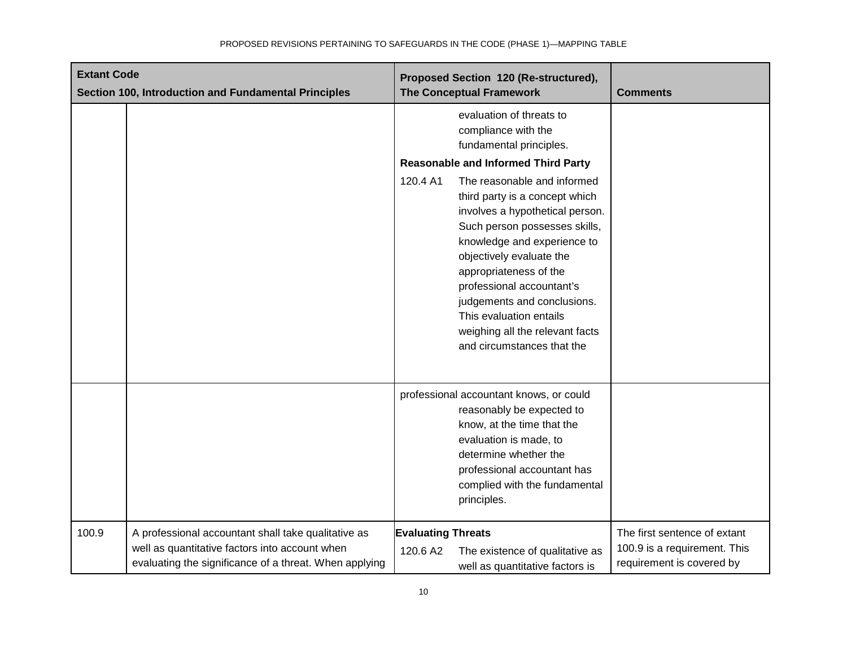| <b>Extant Code</b><br>Section 100, Introduction and Fundamental Principles |                                                                                                                                                                 | Proposed Section 120 (Re-structured),<br><b>The Conceptual Framework</b>                                                                                                                                                                                                                                                                                                                   | <b>Comments</b>                                                                           |
|----------------------------------------------------------------------------|-----------------------------------------------------------------------------------------------------------------------------------------------------------------|--------------------------------------------------------------------------------------------------------------------------------------------------------------------------------------------------------------------------------------------------------------------------------------------------------------------------------------------------------------------------------------------|-------------------------------------------------------------------------------------------|
|                                                                            |                                                                                                                                                                 | evaluation of threats to<br>compliance with the<br>fundamental principles.                                                                                                                                                                                                                                                                                                                 |                                                                                           |
|                                                                            |                                                                                                                                                                 | <b>Reasonable and Informed Third Party</b>                                                                                                                                                                                                                                                                                                                                                 |                                                                                           |
|                                                                            |                                                                                                                                                                 | The reasonable and informed<br>120.4 A1<br>third party is a concept which<br>involves a hypothetical person.<br>Such person possesses skills,<br>knowledge and experience to<br>objectively evaluate the<br>appropriateness of the<br>professional accountant's<br>judgements and conclusions.<br>This evaluation entails<br>weighing all the relevant facts<br>and circumstances that the |                                                                                           |
|                                                                            |                                                                                                                                                                 | professional accountant knows, or could<br>reasonably be expected to<br>know, at the time that the<br>evaluation is made, to<br>determine whether the<br>professional accountant has<br>complied with the fundamental<br>principles.                                                                                                                                                       |                                                                                           |
| 100.9                                                                      | A professional accountant shall take qualitative as<br>well as quantitative factors into account when<br>evaluating the significance of a threat. When applying | <b>Evaluating Threats</b><br>The existence of qualitative as<br>120.6 A2<br>well as quantitative factors is                                                                                                                                                                                                                                                                                | The first sentence of extant<br>100.9 is a requirement. This<br>requirement is covered by |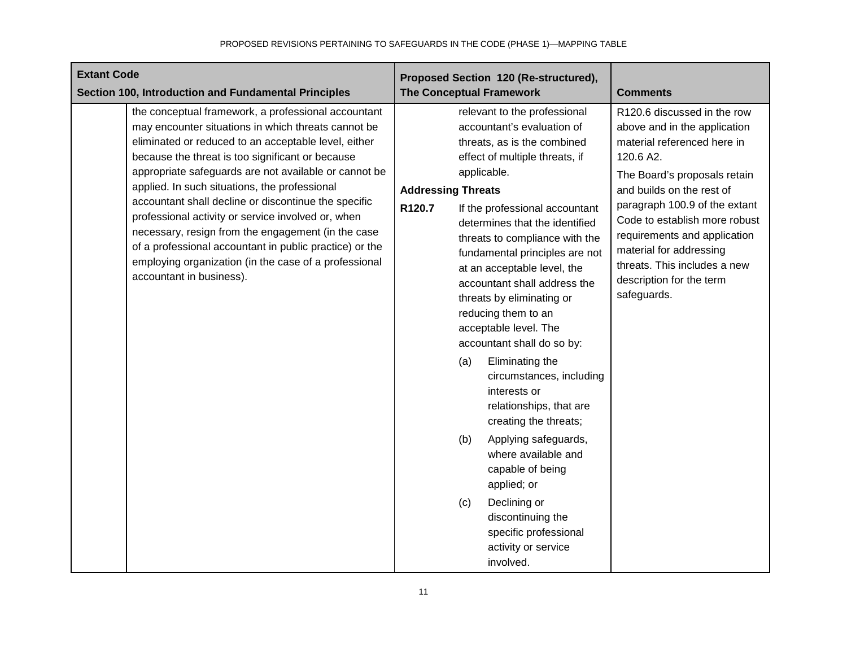| <b>Extant Code</b><br>Section 100, Introduction and Fundamental Principles                                                                                                                                                                                                                                                                                                                                                                                                                                                                                                                                                                           | Proposed Section 120 (Re-structured),<br><b>The Conceptual Framework</b>                                                                                                                                                                                                                                                                                                                                                                                                                                                                                                                                                                                                                                                                                                                                                        | <b>Comments</b>                                                                                                                                                                                                                                                                                                                                                              |
|------------------------------------------------------------------------------------------------------------------------------------------------------------------------------------------------------------------------------------------------------------------------------------------------------------------------------------------------------------------------------------------------------------------------------------------------------------------------------------------------------------------------------------------------------------------------------------------------------------------------------------------------------|---------------------------------------------------------------------------------------------------------------------------------------------------------------------------------------------------------------------------------------------------------------------------------------------------------------------------------------------------------------------------------------------------------------------------------------------------------------------------------------------------------------------------------------------------------------------------------------------------------------------------------------------------------------------------------------------------------------------------------------------------------------------------------------------------------------------------------|------------------------------------------------------------------------------------------------------------------------------------------------------------------------------------------------------------------------------------------------------------------------------------------------------------------------------------------------------------------------------|
| the conceptual framework, a professional accountant<br>may encounter situations in which threats cannot be<br>eliminated or reduced to an acceptable level, either<br>because the threat is too significant or because<br>appropriate safeguards are not available or cannot be<br>applied. In such situations, the professional<br>accountant shall decline or discontinue the specific<br>professional activity or service involved or, when<br>necessary, resign from the engagement (in the case<br>of a professional accountant in public practice) or the<br>employing organization (in the case of a professional<br>accountant in business). | relevant to the professional<br>accountant's evaluation of<br>threats, as is the combined<br>effect of multiple threats, if<br>applicable.<br><b>Addressing Threats</b><br>R120.7<br>If the professional accountant<br>determines that the identified<br>threats to compliance with the<br>fundamental principles are not<br>at an acceptable level, the<br>accountant shall address the<br>threats by eliminating or<br>reducing them to an<br>acceptable level. The<br>accountant shall do so by:<br>Eliminating the<br>(a)<br>circumstances, including<br>interests or<br>relationships, that are<br>creating the threats;<br>Applying safeguards,<br>(b)<br>where available and<br>capable of being<br>applied; or<br>Declining or<br>(c)<br>discontinuing the<br>specific professional<br>activity or service<br>involved. | R120.6 discussed in the row<br>above and in the application<br>material referenced here in<br>120.6 A2.<br>The Board's proposals retain<br>and builds on the rest of<br>paragraph 100.9 of the extant<br>Code to establish more robust<br>requirements and application<br>material for addressing<br>threats. This includes a new<br>description for the term<br>safeguards. |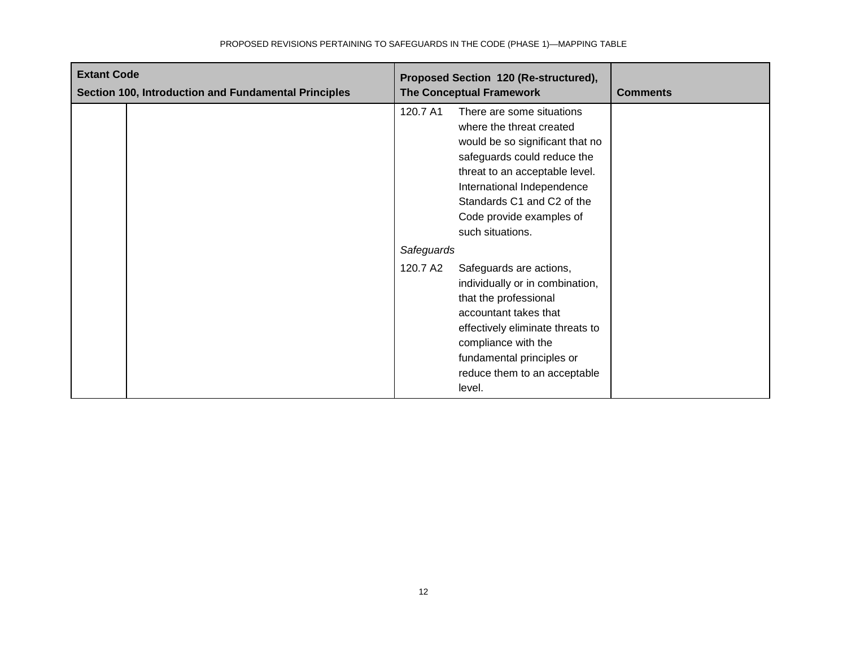| <b>Extant Code</b><br>Section 100, Introduction and Fundamental Principles | Proposed Section 120 (Re-structured),<br><b>The Conceptual Framework</b>                                                                                                                                                                                                          | <b>Comments</b> |
|----------------------------------------------------------------------------|-----------------------------------------------------------------------------------------------------------------------------------------------------------------------------------------------------------------------------------------------------------------------------------|-----------------|
|                                                                            | 120.7 A1<br>There are some situations<br>where the threat created<br>would be so significant that no<br>safeguards could reduce the<br>threat to an acceptable level.<br>International Independence<br>Standards C1 and C2 of the<br>Code provide examples of<br>such situations. |                 |
|                                                                            | Safeguards                                                                                                                                                                                                                                                                        |                 |
|                                                                            | 120.7 A2<br>Safeguards are actions,<br>individually or in combination,<br>that the professional<br>accountant takes that<br>effectively eliminate threats to<br>compliance with the<br>fundamental principles or<br>reduce them to an acceptable<br>level.                        |                 |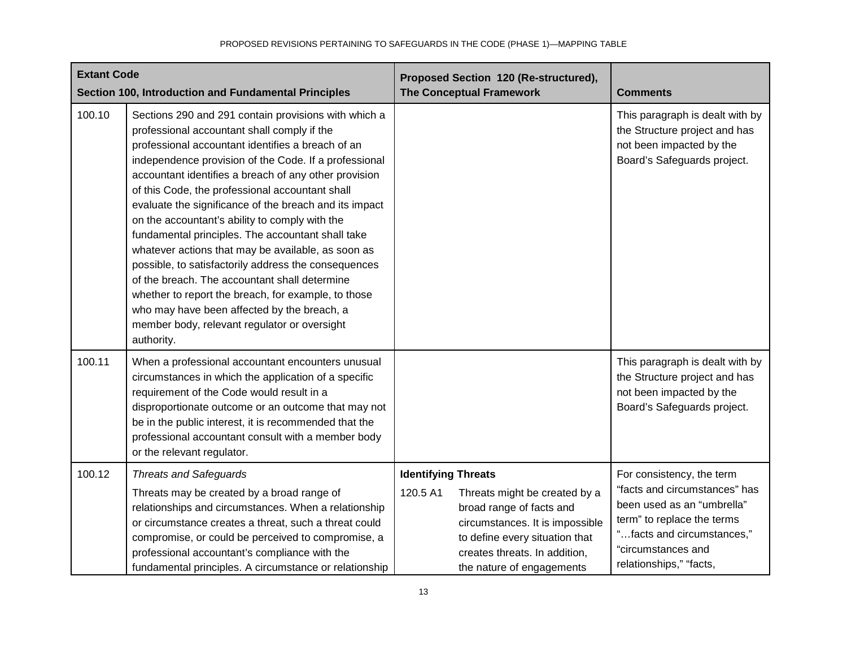| <b>Extant Code</b> | Section 100, Introduction and Fundamental Principles                                                                                                                                                                                                                                                                                                                                                                                                                                                                                                                                                                                                                                                                                                                                                                              | Proposed Section 120 (Re-structured),<br><b>The Conceptual Framework</b>                                                                                                                                                               | <b>Comments</b>                                                                                                                                                                                       |
|--------------------|-----------------------------------------------------------------------------------------------------------------------------------------------------------------------------------------------------------------------------------------------------------------------------------------------------------------------------------------------------------------------------------------------------------------------------------------------------------------------------------------------------------------------------------------------------------------------------------------------------------------------------------------------------------------------------------------------------------------------------------------------------------------------------------------------------------------------------------|----------------------------------------------------------------------------------------------------------------------------------------------------------------------------------------------------------------------------------------|-------------------------------------------------------------------------------------------------------------------------------------------------------------------------------------------------------|
| 100.10             | Sections 290 and 291 contain provisions with which a<br>professional accountant shall comply if the<br>professional accountant identifies a breach of an<br>independence provision of the Code. If a professional<br>accountant identifies a breach of any other provision<br>of this Code, the professional accountant shall<br>evaluate the significance of the breach and its impact<br>on the accountant's ability to comply with the<br>fundamental principles. The accountant shall take<br>whatever actions that may be available, as soon as<br>possible, to satisfactorily address the consequences<br>of the breach. The accountant shall determine<br>whether to report the breach, for example, to those<br>who may have been affected by the breach, a<br>member body, relevant regulator or oversight<br>authority. |                                                                                                                                                                                                                                        | This paragraph is dealt with by<br>the Structure project and has<br>not been impacted by the<br>Board's Safeguards project.                                                                           |
| 100.11             | When a professional accountant encounters unusual<br>circumstances in which the application of a specific<br>requirement of the Code would result in a<br>disproportionate outcome or an outcome that may not<br>be in the public interest, it is recommended that the<br>professional accountant consult with a member body<br>or the relevant regulator.                                                                                                                                                                                                                                                                                                                                                                                                                                                                        |                                                                                                                                                                                                                                        | This paragraph is dealt with by<br>the Structure project and has<br>not been impacted by the<br>Board's Safeguards project.                                                                           |
| 100.12             | <b>Threats and Safeguards</b><br>Threats may be created by a broad range of<br>relationships and circumstances. When a relationship<br>or circumstance creates a threat, such a threat could<br>compromise, or could be perceived to compromise, a<br>professional accountant's compliance with the<br>fundamental principles. A circumstance or relationship                                                                                                                                                                                                                                                                                                                                                                                                                                                                     | <b>Identifying Threats</b><br>120.5 A1<br>Threats might be created by a<br>broad range of facts and<br>circumstances. It is impossible<br>to define every situation that<br>creates threats. In addition,<br>the nature of engagements | For consistency, the term<br>"facts and circumstances" has<br>been used as an "umbrella"<br>term" to replace the terms<br>"facts and circumstances,"<br>"circumstances and<br>relationships," "facts, |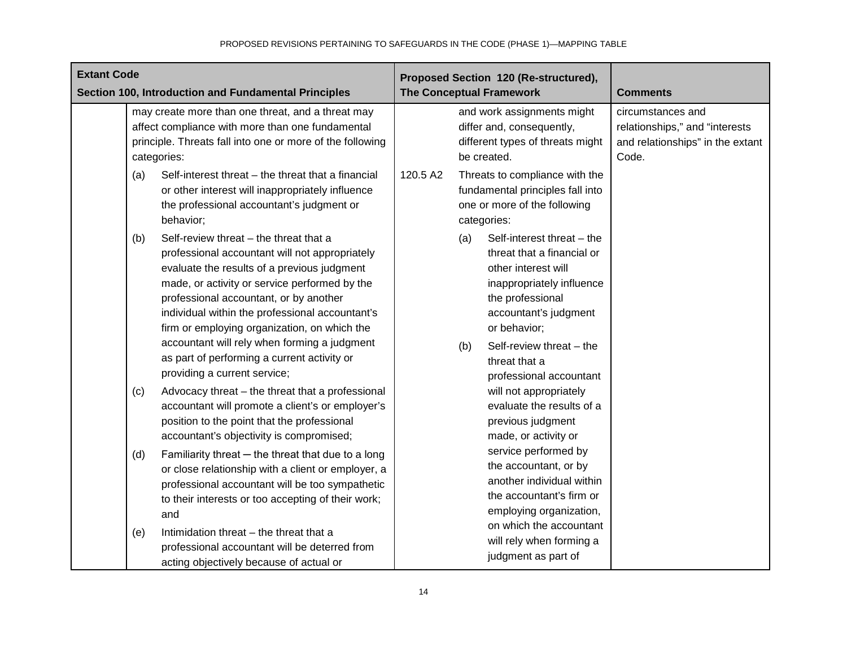| <b>Extant Code</b><br>Section 100, Introduction and Fundamental Principles                                                                                                                                                                                                                                                                                                                                                                                                  | Proposed Section 120 (Re-structured),<br><b>The Conceptual Framework</b>                                                                                                                                                                                        | <b>Comments</b>                                                                                  |
|-----------------------------------------------------------------------------------------------------------------------------------------------------------------------------------------------------------------------------------------------------------------------------------------------------------------------------------------------------------------------------------------------------------------------------------------------------------------------------|-----------------------------------------------------------------------------------------------------------------------------------------------------------------------------------------------------------------------------------------------------------------|--------------------------------------------------------------------------------------------------|
| may create more than one threat, and a threat may<br>affect compliance with more than one fundamental<br>principle. Threats fall into one or more of the following<br>categories:                                                                                                                                                                                                                                                                                           | and work assignments might<br>differ and, consequently,<br>different types of threats might<br>be created.                                                                                                                                                      | circumstances and<br>relationships," and "interests<br>and relationships" in the extant<br>Code. |
| Self-interest threat - the threat that a financial<br>(a)<br>or other interest will inappropriately influence<br>the professional accountant's judgment or<br>behavior;                                                                                                                                                                                                                                                                                                     | 120.5 A2<br>Threats to compliance with the<br>fundamental principles fall into<br>one or more of the following<br>categories:                                                                                                                                   |                                                                                                  |
| Self-review threat - the threat that a<br>(b)<br>professional accountant will not appropriately<br>evaluate the results of a previous judgment<br>made, or activity or service performed by the<br>professional accountant, or by another<br>individual within the professional accountant's<br>firm or employing organization, on which the<br>accountant will rely when forming a judgment<br>as part of performing a current activity or<br>providing a current service; | Self-interest threat - the<br>(a)<br>threat that a financial or<br>other interest will<br>inappropriately influence<br>the professional<br>accountant's judgment<br>or behavior;<br>Self-review threat - the<br>(b)<br>threat that a<br>professional accountant |                                                                                                  |
| Advocacy threat - the threat that a professional<br>(c)<br>accountant will promote a client's or employer's<br>position to the point that the professional<br>accountant's objectivity is compromised;                                                                                                                                                                                                                                                                      | will not appropriately<br>evaluate the results of a<br>previous judgment<br>made, or activity or                                                                                                                                                                |                                                                                                  |
| Familiarity threat $-$ the threat that due to a long<br>(d)<br>or close relationship with a client or employer, a<br>professional accountant will be too sympathetic<br>to their interests or too accepting of their work;<br>and                                                                                                                                                                                                                                           | service performed by<br>the accountant, or by<br>another individual within<br>the accountant's firm or<br>employing organization,                                                                                                                               |                                                                                                  |
| Intimidation threat - the threat that a<br>(e)<br>professional accountant will be deterred from<br>acting objectively because of actual or                                                                                                                                                                                                                                                                                                                                  | on which the accountant<br>will rely when forming a<br>judgment as part of                                                                                                                                                                                      |                                                                                                  |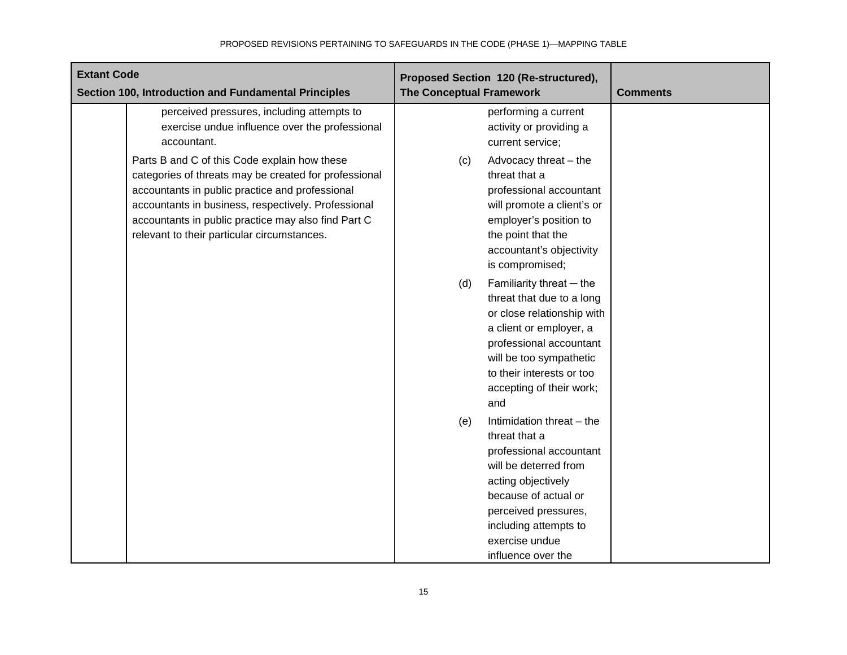| <b>Extant Code</b><br>Section 100, Introduction and Fundamental Principles                                                                                                                                                                                                                                            | Proposed Section 120 (Re-structured),<br><b>The Conceptual Framework</b>                                                                                                                                                                     | <b>Comments</b> |
|-----------------------------------------------------------------------------------------------------------------------------------------------------------------------------------------------------------------------------------------------------------------------------------------------------------------------|----------------------------------------------------------------------------------------------------------------------------------------------------------------------------------------------------------------------------------------------|-----------------|
| perceived pressures, including attempts to<br>exercise undue influence over the professional<br>accountant.                                                                                                                                                                                                           | performing a current<br>activity or providing a<br>current service;                                                                                                                                                                          |                 |
| Parts B and C of this Code explain how these<br>categories of threats may be created for professional<br>accountants in public practice and professional<br>accountants in business, respectively. Professional<br>accountants in public practice may also find Part C<br>relevant to their particular circumstances. | Advocacy threat - the<br>(c)<br>threat that a<br>professional accountant<br>will promote a client's or<br>employer's position to<br>the point that the<br>accountant's objectivity<br>is compromised;                                        |                 |
|                                                                                                                                                                                                                                                                                                                       | Familiarity threat - the<br>(d)<br>threat that due to a long<br>or close relationship with<br>a client or employer, a<br>professional accountant<br>will be too sympathetic<br>to their interests or too<br>accepting of their work;<br>and  |                 |
|                                                                                                                                                                                                                                                                                                                       | Intimidation threat - the<br>(e)<br>threat that a<br>professional accountant<br>will be deterred from<br>acting objectively<br>because of actual or<br>perceived pressures,<br>including attempts to<br>exercise undue<br>influence over the |                 |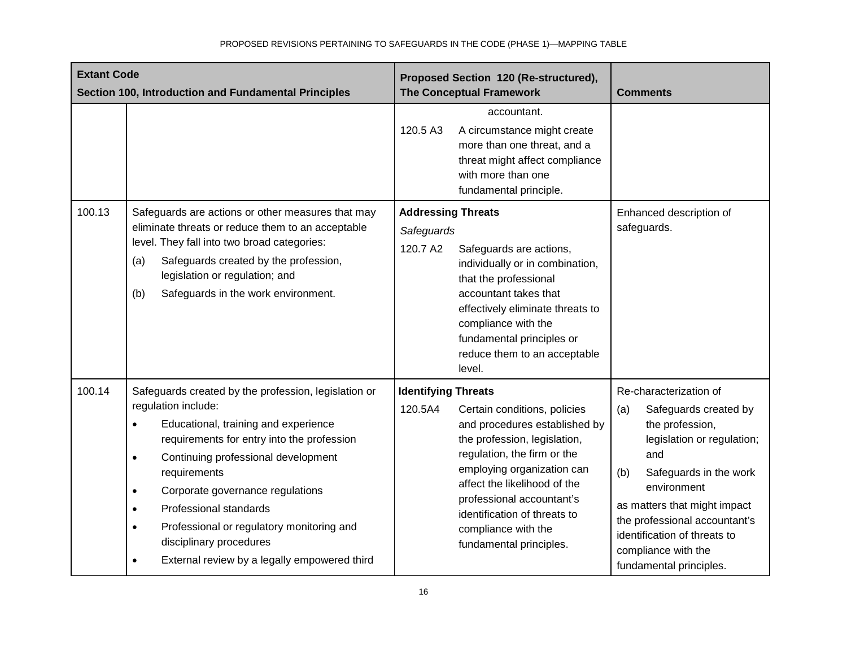| <b>Extant Code</b><br>Section 100, Introduction and Fundamental Principles |                                                                                                                                                                                                                                                                                                                                                                                                                                                                                              | Proposed Section 120 (Re-structured),<br><b>The Conceptual Framework</b>                                                                                                                                                                                                                                                                           | <b>Comments</b>                                                                                                                                                                                                                                                                                                   |
|----------------------------------------------------------------------------|----------------------------------------------------------------------------------------------------------------------------------------------------------------------------------------------------------------------------------------------------------------------------------------------------------------------------------------------------------------------------------------------------------------------------------------------------------------------------------------------|----------------------------------------------------------------------------------------------------------------------------------------------------------------------------------------------------------------------------------------------------------------------------------------------------------------------------------------------------|-------------------------------------------------------------------------------------------------------------------------------------------------------------------------------------------------------------------------------------------------------------------------------------------------------------------|
|                                                                            |                                                                                                                                                                                                                                                                                                                                                                                                                                                                                              | accountant.<br>120.5 A3<br>A circumstance might create<br>more than one threat, and a<br>threat might affect compliance<br>with more than one<br>fundamental principle.                                                                                                                                                                            |                                                                                                                                                                                                                                                                                                                   |
| 100.13                                                                     | Safeguards are actions or other measures that may<br>eliminate threats or reduce them to an acceptable<br>level. They fall into two broad categories:<br>Safeguards created by the profession,<br>(a)<br>legislation or regulation; and<br>Safeguards in the work environment.<br>(b)                                                                                                                                                                                                        | <b>Addressing Threats</b><br>Safeguards<br>120.7 A2<br>Safeguards are actions,<br>individually or in combination,<br>that the professional<br>accountant takes that<br>effectively eliminate threats to<br>compliance with the<br>fundamental principles or<br>reduce them to an acceptable<br>level.                                              | Enhanced description of<br>safeguards.                                                                                                                                                                                                                                                                            |
| 100.14                                                                     | Safeguards created by the profession, legislation or<br>regulation include:<br>Educational, training and experience<br>$\bullet$<br>requirements for entry into the profession<br>Continuing professional development<br>$\bullet$<br>requirements<br>Corporate governance regulations<br>$\bullet$<br>Professional standards<br>$\bullet$<br>Professional or regulatory monitoring and<br>$\bullet$<br>disciplinary procedures<br>External review by a legally empowered third<br>$\bullet$ | <b>Identifying Threats</b><br>120.5A4<br>Certain conditions, policies<br>and procedures established by<br>the profession, legislation,<br>regulation, the firm or the<br>employing organization can<br>affect the likelihood of the<br>professional accountant's<br>identification of threats to<br>compliance with the<br>fundamental principles. | Re-characterization of<br>(a)<br>Safeguards created by<br>the profession,<br>legislation or regulation;<br>and<br>(b)<br>Safeguards in the work<br>environment<br>as matters that might impact<br>the professional accountant's<br>identification of threats to<br>compliance with the<br>fundamental principles. |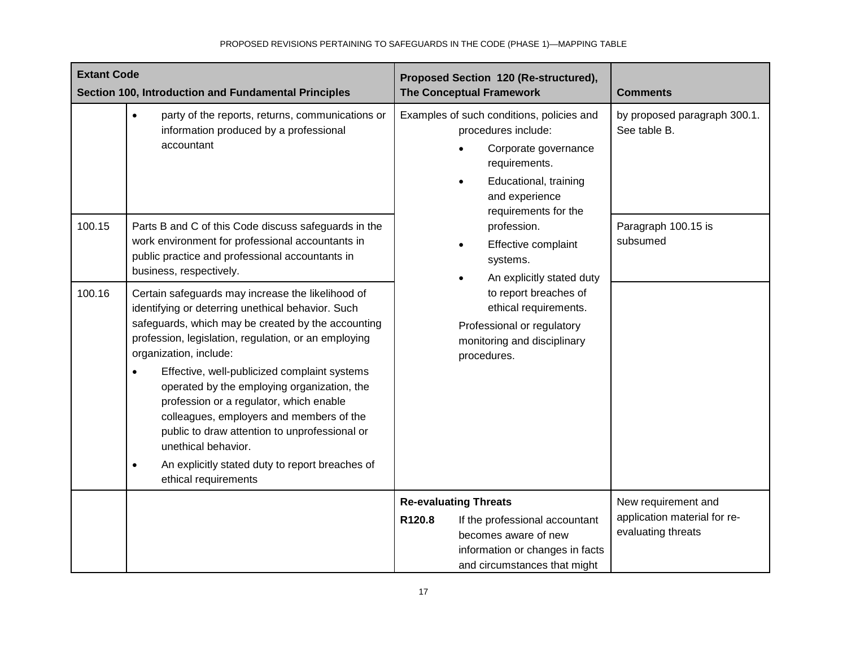| <b>Extant Code</b><br>Section 100, Introduction and Fundamental Principles |                                                                                                                                                                                                                                                                                                                                                                                                                                                                                                              | Proposed Section 120 (Re-structured),<br><b>The Conceptual Framework</b>                                                                                                     | <b>Comments</b>                                    |
|----------------------------------------------------------------------------|--------------------------------------------------------------------------------------------------------------------------------------------------------------------------------------------------------------------------------------------------------------------------------------------------------------------------------------------------------------------------------------------------------------------------------------------------------------------------------------------------------------|------------------------------------------------------------------------------------------------------------------------------------------------------------------------------|----------------------------------------------------|
|                                                                            | party of the reports, returns, communications or<br>$\bullet$<br>information produced by a professional<br>accountant                                                                                                                                                                                                                                                                                                                                                                                        | Examples of such conditions, policies and<br>procedures include:<br>Corporate governance<br>requirements.<br>Educational, training<br>and experience<br>requirements for the | by proposed paragraph 300.1.<br>See table B.       |
| 100.15                                                                     | Parts B and C of this Code discuss safeguards in the<br>work environment for professional accountants in<br>public practice and professional accountants in<br>business, respectively.                                                                                                                                                                                                                                                                                                                       | profession.<br>Effective complaint<br>systems.<br>An explicitly stated duty                                                                                                  | Paragraph 100.15 is<br>subsumed                    |
| 100.16                                                                     | Certain safeguards may increase the likelihood of<br>identifying or deterring unethical behavior. Such<br>safeguards, which may be created by the accounting<br>profession, legislation, regulation, or an employing<br>organization, include:<br>Effective, well-publicized complaint systems<br>operated by the employing organization, the<br>profession or a regulator, which enable<br>colleagues, employers and members of the<br>public to draw attention to unprofessional or<br>unethical behavior. | to report breaches of<br>ethical requirements.<br>Professional or regulatory<br>monitoring and disciplinary<br>procedures.                                                   |                                                    |
|                                                                            |                                                                                                                                                                                                                                                                                                                                                                                                                                                                                                              |                                                                                                                                                                              |                                                    |
|                                                                            | An explicitly stated duty to report breaches of<br>$\bullet$<br>ethical requirements                                                                                                                                                                                                                                                                                                                                                                                                                         |                                                                                                                                                                              |                                                    |
|                                                                            |                                                                                                                                                                                                                                                                                                                                                                                                                                                                                                              | <b>Re-evaluating Threats</b>                                                                                                                                                 | New requirement and                                |
|                                                                            |                                                                                                                                                                                                                                                                                                                                                                                                                                                                                                              | R120.8<br>If the professional accountant<br>becomes aware of new<br>information or changes in facts<br>and circumstances that might                                          | application material for re-<br>evaluating threats |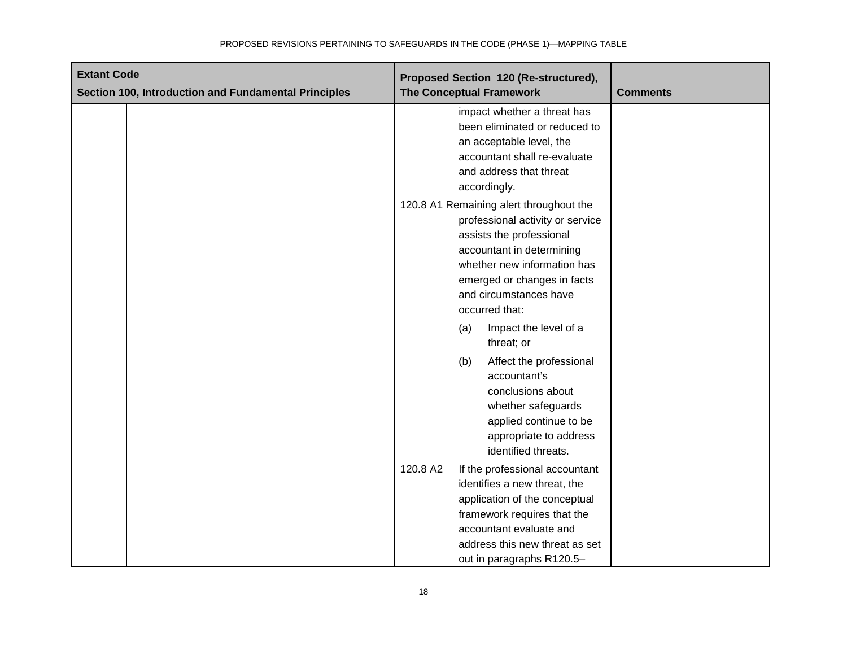| <b>Extant Code</b>                                   | Proposed Section 120 (Re-structured),                                                                                                                                                                                                          |                 |
|------------------------------------------------------|------------------------------------------------------------------------------------------------------------------------------------------------------------------------------------------------------------------------------------------------|-----------------|
| Section 100, Introduction and Fundamental Principles | <b>The Conceptual Framework</b>                                                                                                                                                                                                                | <b>Comments</b> |
|                                                      | impact whether a threat has<br>been eliminated or reduced to<br>an acceptable level, the<br>accountant shall re-evaluate<br>and address that threat<br>accordingly.                                                                            |                 |
|                                                      | 120.8 A1 Remaining alert throughout the<br>professional activity or service<br>assists the professional<br>accountant in determining<br>whether new information has<br>emerged or changes in facts<br>and circumstances have<br>occurred that: |                 |
|                                                      | Impact the level of a<br>(a)<br>threat; or                                                                                                                                                                                                     |                 |
|                                                      | (b)<br>Affect the professional<br>accountant's<br>conclusions about<br>whether safeguards<br>applied continue to be<br>appropriate to address<br>identified threats.                                                                           |                 |
|                                                      | 120.8 A2<br>If the professional accountant<br>identifies a new threat, the<br>application of the conceptual<br>framework requires that the<br>accountant evaluate and<br>address this new threat as set<br>out in paragraphs R120.5-           |                 |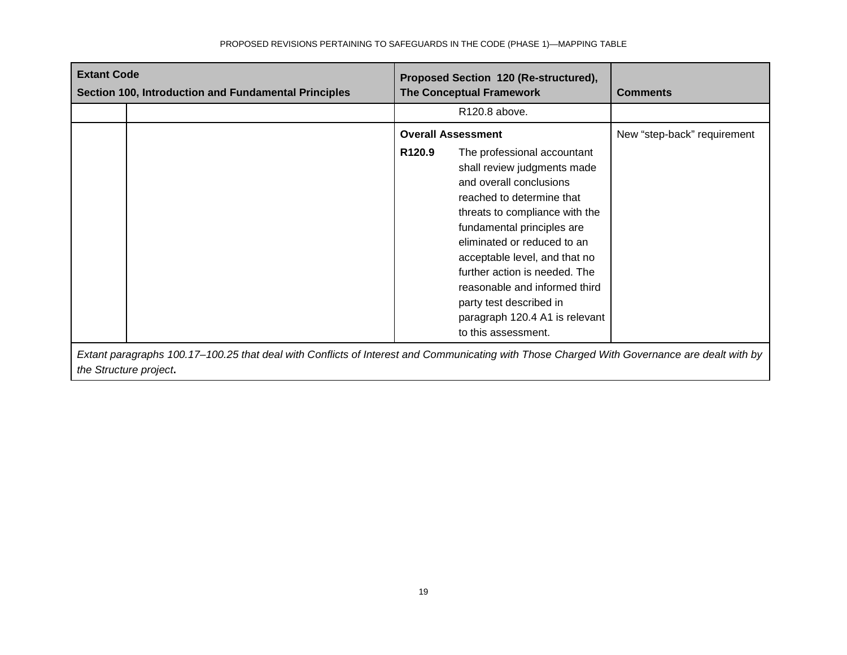| <b>Extant Code</b><br>Section 100, Introduction and Fundamental Principles |                                                                                                                                             | Proposed Section 120 (Re-structured),<br><b>The Conceptual Framework</b> |                                                                                                                                                                                                                                                                                                                                                                                                                                       | <b>Comments</b>             |
|----------------------------------------------------------------------------|---------------------------------------------------------------------------------------------------------------------------------------------|--------------------------------------------------------------------------|---------------------------------------------------------------------------------------------------------------------------------------------------------------------------------------------------------------------------------------------------------------------------------------------------------------------------------------------------------------------------------------------------------------------------------------|-----------------------------|
|                                                                            |                                                                                                                                             |                                                                          | R <sub>120.8</sub> above.                                                                                                                                                                                                                                                                                                                                                                                                             |                             |
|                                                                            |                                                                                                                                             | R <sub>120.9</sub>                                                       | <b>Overall Assessment</b><br>The professional accountant<br>shall review judgments made<br>and overall conclusions<br>reached to determine that<br>threats to compliance with the<br>fundamental principles are<br>eliminated or reduced to an<br>acceptable level, and that no<br>further action is needed. The<br>reasonable and informed third<br>party test described in<br>paragraph 120.4 A1 is relevant<br>to this assessment. | New "step-back" requirement |
|                                                                            | Extant paragraphs 100.17–100.25 that deal with Conflicts of Interest and Communicating with Those Charged With Governance are dealt with by |                                                                          |                                                                                                                                                                                                                                                                                                                                                                                                                                       |                             |

*the Structure project***.**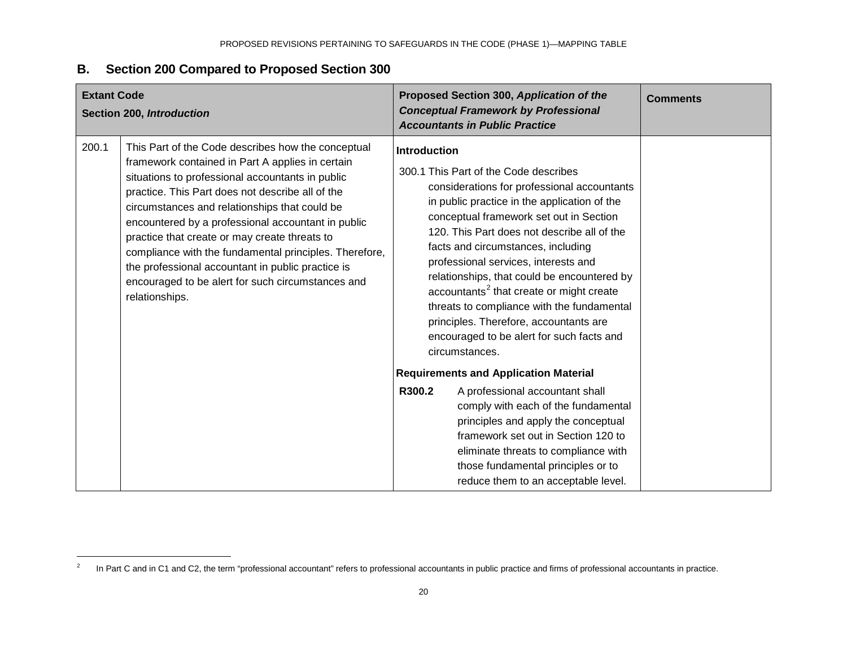## <span id="page-19-0"></span>**B. Section 200 Compared to Proposed Section 300**

| <b>Extant Code</b><br>Section 200, Introduction |                                                                                                                                                                                                                                                                                                                                                                                                                                                                                                                                                              | Proposed Section 300, Application of the<br><b>Conceptual Framework by Professional</b><br><b>Accountants in Public Practice</b>                                                                                                                                                                                                                                                                                                                                                                                                                                                                  | <b>Comments</b> |
|-------------------------------------------------|--------------------------------------------------------------------------------------------------------------------------------------------------------------------------------------------------------------------------------------------------------------------------------------------------------------------------------------------------------------------------------------------------------------------------------------------------------------------------------------------------------------------------------------------------------------|---------------------------------------------------------------------------------------------------------------------------------------------------------------------------------------------------------------------------------------------------------------------------------------------------------------------------------------------------------------------------------------------------------------------------------------------------------------------------------------------------------------------------------------------------------------------------------------------------|-----------------|
| 200.1                                           | This Part of the Code describes how the conceptual<br>framework contained in Part A applies in certain<br>situations to professional accountants in public<br>practice. This Part does not describe all of the<br>circumstances and relationships that could be<br>encountered by a professional accountant in public<br>practice that create or may create threats to<br>compliance with the fundamental principles. Therefore,<br>the professional accountant in public practice is<br>encouraged to be alert for such circumstances and<br>relationships. | <b>Introduction</b><br>300.1 This Part of the Code describes<br>considerations for professional accountants<br>in public practice in the application of the<br>conceptual framework set out in Section<br>120. This Part does not describe all of the<br>facts and circumstances, including<br>professional services, interests and<br>relationships, that could be encountered by<br>accountants <sup>2</sup> that create or might create<br>threats to compliance with the fundamental<br>principles. Therefore, accountants are<br>encouraged to be alert for such facts and<br>circumstances. |                 |
|                                                 |                                                                                                                                                                                                                                                                                                                                                                                                                                                                                                                                                              | <b>Requirements and Application Material</b>                                                                                                                                                                                                                                                                                                                                                                                                                                                                                                                                                      |                 |
|                                                 |                                                                                                                                                                                                                                                                                                                                                                                                                                                                                                                                                              | R300.2<br>A professional accountant shall<br>comply with each of the fundamental<br>principles and apply the conceptual<br>framework set out in Section 120 to<br>eliminate threats to compliance with<br>those fundamental principles or to<br>reduce them to an acceptable level.                                                                                                                                                                                                                                                                                                               |                 |

<sup>&</sup>lt;sup>2</sup> In Part C and in C1 and C2, the term "professional accountant" refers to professional accountants in public practice and firms of professional accountants in practice.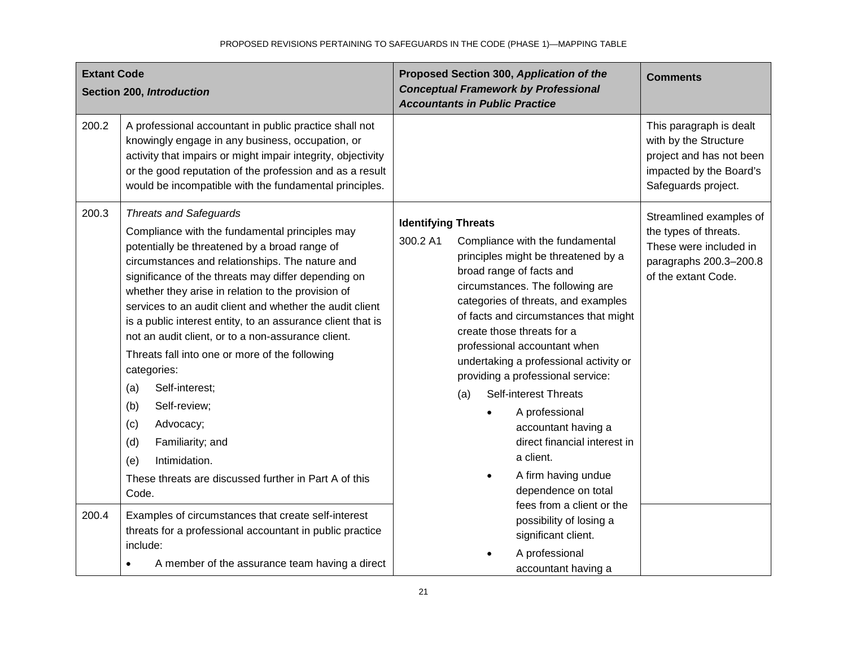| <b>Extant Code</b> | Section 200, Introduction                                                                                                                                                                                                                                                                                                                                                                                                                                                                                                                                                                                                                                                                                                                   | Proposed Section 300, Application of the<br><b>Conceptual Framework by Professional</b><br><b>Accountants in Public Practice</b>                                                                                                                                                                                                                                                                                                                                                                                                                                                                                   | <b>Comments</b>                                                                                                                |
|--------------------|---------------------------------------------------------------------------------------------------------------------------------------------------------------------------------------------------------------------------------------------------------------------------------------------------------------------------------------------------------------------------------------------------------------------------------------------------------------------------------------------------------------------------------------------------------------------------------------------------------------------------------------------------------------------------------------------------------------------------------------------|--------------------------------------------------------------------------------------------------------------------------------------------------------------------------------------------------------------------------------------------------------------------------------------------------------------------------------------------------------------------------------------------------------------------------------------------------------------------------------------------------------------------------------------------------------------------------------------------------------------------|--------------------------------------------------------------------------------------------------------------------------------|
| 200.2              | A professional accountant in public practice shall not<br>knowingly engage in any business, occupation, or<br>activity that impairs or might impair integrity, objectivity<br>or the good reputation of the profession and as a result<br>would be incompatible with the fundamental principles.                                                                                                                                                                                                                                                                                                                                                                                                                                            |                                                                                                                                                                                                                                                                                                                                                                                                                                                                                                                                                                                                                    | This paragraph is dealt<br>with by the Structure<br>project and has not been<br>impacted by the Board's<br>Safeguards project. |
| 200.3              | <b>Threats and Safeguards</b><br>Compliance with the fundamental principles may<br>potentially be threatened by a broad range of<br>circumstances and relationships. The nature and<br>significance of the threats may differ depending on<br>whether they arise in relation to the provision of<br>services to an audit client and whether the audit client<br>is a public interest entity, to an assurance client that is<br>not an audit client, or to a non-assurance client.<br>Threats fall into one or more of the following<br>categories:<br>Self-interest;<br>(a)<br>Self-review;<br>(b)<br>(c)<br>Advocacy;<br>(d)<br>Familiarity; and<br>Intimidation.<br>(e)<br>These threats are discussed further in Part A of this<br>Code. | <b>Identifying Threats</b><br>300.2 A1<br>Compliance with the fundamental<br>principles might be threatened by a<br>broad range of facts and<br>circumstances. The following are<br>categories of threats, and examples<br>of facts and circumstances that might<br>create those threats for a<br>professional accountant when<br>undertaking a professional activity or<br>providing a professional service:<br><b>Self-interest Threats</b><br>(a)<br>A professional<br>$\bullet$<br>accountant having a<br>direct financial interest in<br>a client.<br>A firm having undue<br>$\bullet$<br>dependence on total | Streamlined examples of<br>the types of threats.<br>These were included in<br>paragraphs 200.3-200.8<br>of the extant Code.    |
| 200.4              | Examples of circumstances that create self-interest<br>threats for a professional accountant in public practice<br>include:<br>A member of the assurance team having a direct                                                                                                                                                                                                                                                                                                                                                                                                                                                                                                                                                               | fees from a client or the<br>possibility of losing a<br>significant client.<br>A professional<br>accountant having a                                                                                                                                                                                                                                                                                                                                                                                                                                                                                               |                                                                                                                                |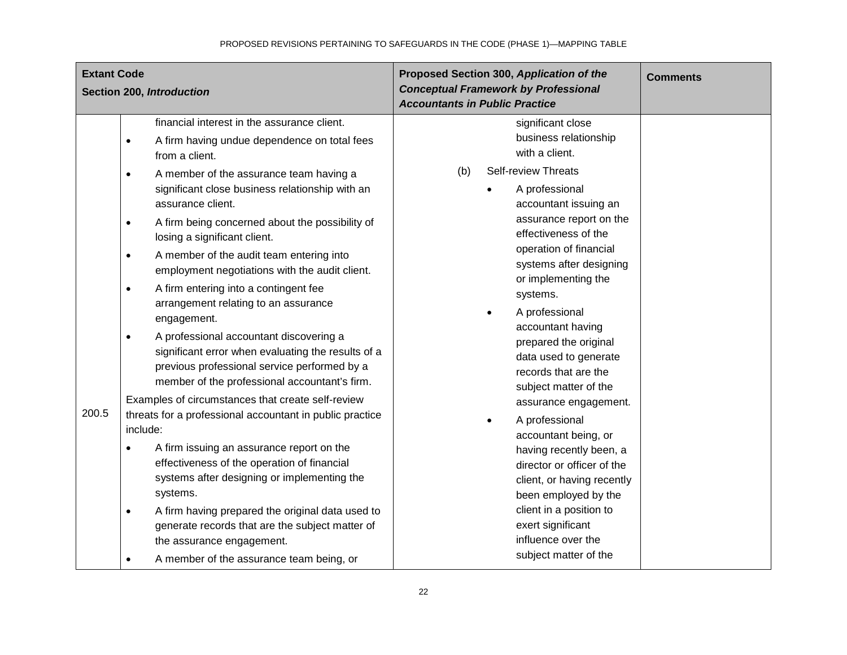| <b>Extant Code</b><br>Section 200, Introduction |                                                                                                 | Proposed Section 300, Application of the<br><b>Conceptual Framework by Professional</b><br><b>Accountants in Public Practice</b>                                                                                                                                                                                                                                                                                                                                                                                                                                                                                                                                                                                                                                                                                                                                                                                                                                                |     | <b>Comments</b> |                                                                                                                                                                                                                                                                                                                                                                                                                                                                                                                                                                                      |  |
|-------------------------------------------------|-------------------------------------------------------------------------------------------------|---------------------------------------------------------------------------------------------------------------------------------------------------------------------------------------------------------------------------------------------------------------------------------------------------------------------------------------------------------------------------------------------------------------------------------------------------------------------------------------------------------------------------------------------------------------------------------------------------------------------------------------------------------------------------------------------------------------------------------------------------------------------------------------------------------------------------------------------------------------------------------------------------------------------------------------------------------------------------------|-----|-----------------|--------------------------------------------------------------------------------------------------------------------------------------------------------------------------------------------------------------------------------------------------------------------------------------------------------------------------------------------------------------------------------------------------------------------------------------------------------------------------------------------------------------------------------------------------------------------------------------|--|
|                                                 | $\bullet$<br>$\bullet$<br>$\bullet$<br>$\bullet$<br>$\bullet$<br>$\bullet$<br>200.5<br>include: | financial interest in the assurance client.<br>A firm having undue dependence on total fees<br>from a client.<br>A member of the assurance team having a<br>significant close business relationship with an<br>assurance client.<br>A firm being concerned about the possibility of<br>losing a significant client.<br>A member of the audit team entering into<br>employment negotiations with the audit client.<br>A firm entering into a contingent fee<br>arrangement relating to an assurance<br>engagement.<br>A professional accountant discovering a<br>significant error when evaluating the results of a<br>previous professional service performed by a<br>member of the professional accountant's firm.<br>Examples of circumstances that create self-review<br>threats for a professional accountant in public practice<br>A firm issuing an assurance report on the<br>effectiveness of the operation of financial<br>systems after designing or implementing the | (b) |                 | significant close<br>business relationship<br>with a client.<br><b>Self-review Threats</b><br>A professional<br>accountant issuing an<br>assurance report on the<br>effectiveness of the<br>operation of financial<br>systems after designing<br>or implementing the<br>systems.<br>A professional<br>accountant having<br>prepared the original<br>data used to generate<br>records that are the<br>subject matter of the<br>assurance engagement.<br>A professional<br>accountant being, or<br>having recently been, a<br>director or officer of the<br>client, or having recently |  |
|                                                 | ٠                                                                                               | systems.<br>A firm having prepared the original data used to<br>generate records that are the subject matter of<br>the assurance engagement.<br>A member of the assurance team being, or                                                                                                                                                                                                                                                                                                                                                                                                                                                                                                                                                                                                                                                                                                                                                                                        |     |                 | been employed by the<br>client in a position to<br>exert significant<br>influence over the<br>subject matter of the                                                                                                                                                                                                                                                                                                                                                                                                                                                                  |  |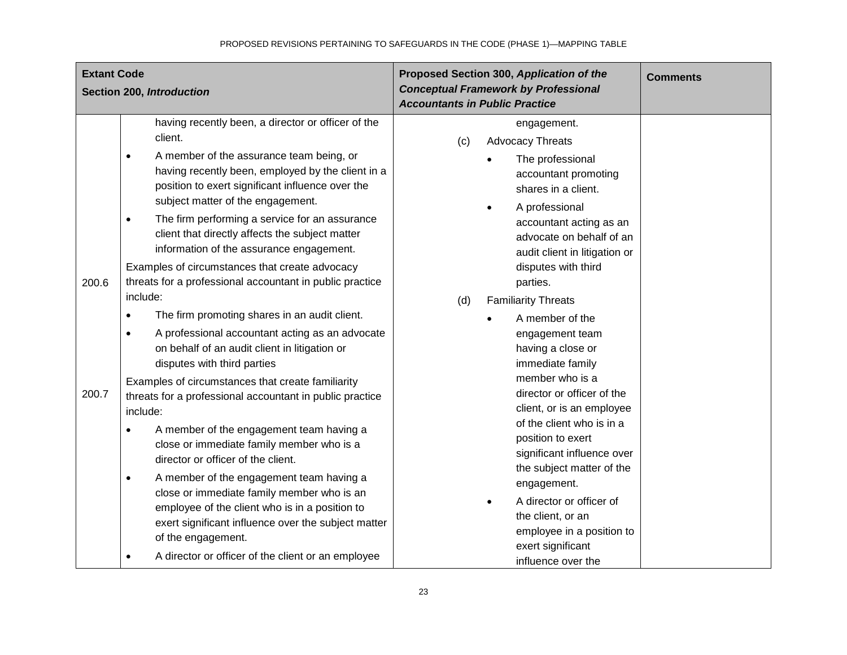| <b>Extant Code</b> | Section 200, Introduction                                                                                                                                                                                                                                                                                                                                                                                                                                                                                                                                                                                                                                                                                                                                                                                                                                                                                                                                                                                                                                                                                                                                                                                                                                                    | Proposed Section 300, Application of the<br><b>Conceptual Framework by Professional</b><br><b>Accountants in Public Practice</b>                                                                                                                                                                                                                                                                                                                                                                                                                                                                                                                                                               | <b>Comments</b> |
|--------------------|------------------------------------------------------------------------------------------------------------------------------------------------------------------------------------------------------------------------------------------------------------------------------------------------------------------------------------------------------------------------------------------------------------------------------------------------------------------------------------------------------------------------------------------------------------------------------------------------------------------------------------------------------------------------------------------------------------------------------------------------------------------------------------------------------------------------------------------------------------------------------------------------------------------------------------------------------------------------------------------------------------------------------------------------------------------------------------------------------------------------------------------------------------------------------------------------------------------------------------------------------------------------------|------------------------------------------------------------------------------------------------------------------------------------------------------------------------------------------------------------------------------------------------------------------------------------------------------------------------------------------------------------------------------------------------------------------------------------------------------------------------------------------------------------------------------------------------------------------------------------------------------------------------------------------------------------------------------------------------|-----------------|
| 200.6<br>200.7     | having recently been, a director or officer of the<br>client.<br>A member of the assurance team being, or<br>$\bullet$<br>having recently been, employed by the client in a<br>position to exert significant influence over the<br>subject matter of the engagement.<br>The firm performing a service for an assurance<br>$\bullet$<br>client that directly affects the subject matter<br>information of the assurance engagement.<br>Examples of circumstances that create advocacy<br>threats for a professional accountant in public practice<br>include:<br>The firm promoting shares in an audit client.<br>$\bullet$<br>A professional accountant acting as an advocate<br>$\bullet$<br>on behalf of an audit client in litigation or<br>disputes with third parties<br>Examples of circumstances that create familiarity<br>threats for a professional accountant in public practice<br>include:<br>A member of the engagement team having a<br>close or immediate family member who is a<br>director or officer of the client.<br>A member of the engagement team having a<br>$\bullet$<br>close or immediate family member who is an<br>employee of the client who is in a position to<br>exert significant influence over the subject matter<br>of the engagement. | engagement.<br><b>Advocacy Threats</b><br>(c)<br>The professional<br>accountant promoting<br>shares in a client.<br>A professional<br>accountant acting as an<br>advocate on behalf of an<br>audit client in litigation or<br>disputes with third<br>parties.<br><b>Familiarity Threats</b><br>(d)<br>A member of the<br>engagement team<br>having a close or<br>immediate family<br>member who is a<br>director or officer of the<br>client, or is an employee<br>of the client who is in a<br>position to exert<br>significant influence over<br>the subject matter of the<br>engagement.<br>A director or officer of<br>the client, or an<br>employee in a position to<br>exert significant |                 |
|                    | A director or officer of the client or an employee<br>$\bullet$                                                                                                                                                                                                                                                                                                                                                                                                                                                                                                                                                                                                                                                                                                                                                                                                                                                                                                                                                                                                                                                                                                                                                                                                              | influence over the                                                                                                                                                                                                                                                                                                                                                                                                                                                                                                                                                                                                                                                                             |                 |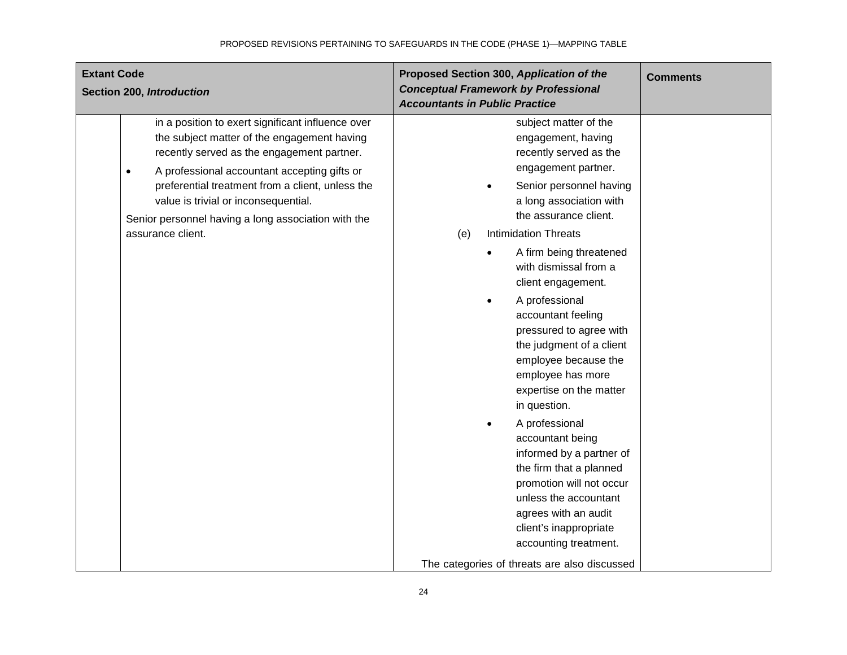| <b>Extant Code</b><br>Section 200, Introduction                                                                                                                                                                                                                                                                                                                                     | Proposed Section 300, Application of the<br><b>Conceptual Framework by Professional</b><br><b>Accountants in Public Practice</b>                                                                                                                                          | <b>Comments</b> |
|-------------------------------------------------------------------------------------------------------------------------------------------------------------------------------------------------------------------------------------------------------------------------------------------------------------------------------------------------------------------------------------|---------------------------------------------------------------------------------------------------------------------------------------------------------------------------------------------------------------------------------------------------------------------------|-----------------|
| in a position to exert significant influence over<br>the subject matter of the engagement having<br>recently served as the engagement partner.<br>A professional accountant accepting gifts or<br>$\bullet$<br>preferential treatment from a client, unless the<br>value is trivial or inconsequential.<br>Senior personnel having a long association with the<br>assurance client. | subject matter of the<br>engagement, having<br>recently served as the<br>engagement partner.<br>Senior personnel having<br>a long association with<br>the assurance client.<br><b>Intimidation Threats</b><br>(e)<br>A firm being threatened                              |                 |
|                                                                                                                                                                                                                                                                                                                                                                                     | with dismissal from a<br>client engagement.<br>A professional<br>accountant feeling<br>pressured to agree with<br>the judgment of a client<br>employee because the<br>employee has more<br>expertise on the matter<br>in question.                                        |                 |
|                                                                                                                                                                                                                                                                                                                                                                                     | A professional<br>accountant being<br>informed by a partner of<br>the firm that a planned<br>promotion will not occur<br>unless the accountant<br>agrees with an audit<br>client's inappropriate<br>accounting treatment.<br>The categories of threats are also discussed |                 |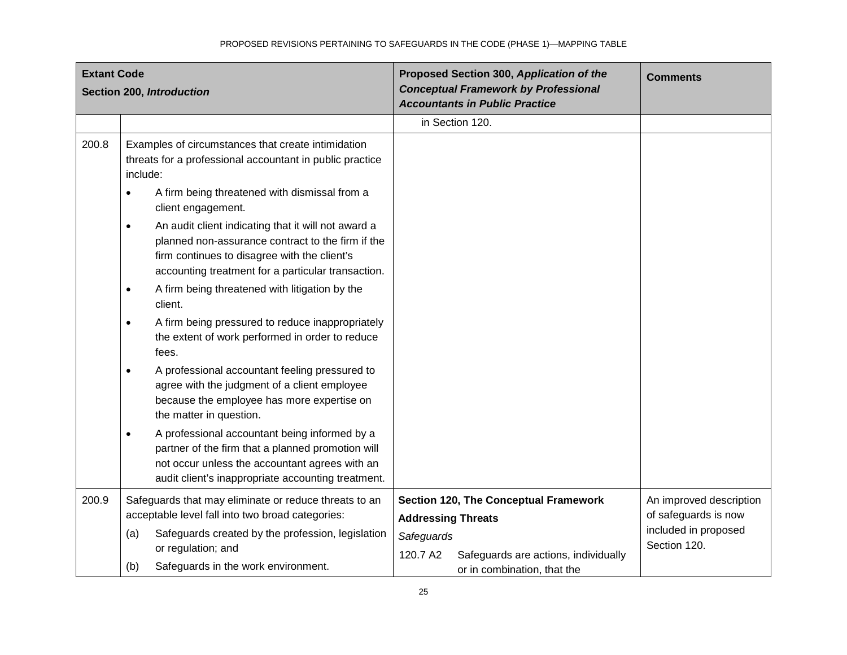| <b>Extant Code</b><br>Section 200, Introduction |                                                                                                                                                                                                                             | Proposed Section 300, Application of the<br><b>Conceptual Framework by Professional</b><br><b>Accountants in Public Practice</b> | <b>Comments</b>                                 |
|-------------------------------------------------|-----------------------------------------------------------------------------------------------------------------------------------------------------------------------------------------------------------------------------|----------------------------------------------------------------------------------------------------------------------------------|-------------------------------------------------|
|                                                 |                                                                                                                                                                                                                             | in Section 120.                                                                                                                  |                                                 |
| 200.8                                           | Examples of circumstances that create intimidation<br>threats for a professional accountant in public practice<br>include:                                                                                                  |                                                                                                                                  |                                                 |
|                                                 | A firm being threatened with dismissal from a<br>$\bullet$<br>client engagement.                                                                                                                                            |                                                                                                                                  |                                                 |
|                                                 | An audit client indicating that it will not award a<br>$\bullet$<br>planned non-assurance contract to the firm if the<br>firm continues to disagree with the client's<br>accounting treatment for a particular transaction. |                                                                                                                                  |                                                 |
|                                                 | A firm being threatened with litigation by the<br>$\bullet$<br>client.                                                                                                                                                      |                                                                                                                                  |                                                 |
|                                                 | A firm being pressured to reduce inappropriately<br>$\bullet$<br>the extent of work performed in order to reduce<br>fees.                                                                                                   |                                                                                                                                  |                                                 |
|                                                 | A professional accountant feeling pressured to<br>$\bullet$<br>agree with the judgment of a client employee<br>because the employee has more expertise on<br>the matter in question.                                        |                                                                                                                                  |                                                 |
|                                                 | A professional accountant being informed by a<br>$\bullet$<br>partner of the firm that a planned promotion will<br>not occur unless the accountant agrees with an<br>audit client's inappropriate accounting treatment.     |                                                                                                                                  |                                                 |
| 200.9                                           | Safeguards that may eliminate or reduce threats to an<br>acceptable level fall into two broad categories:                                                                                                                   | Section 120, The Conceptual Framework<br><b>Addressing Threats</b>                                                               | An improved description<br>of safeguards is now |
|                                                 | Safeguards created by the profession, legislation<br>(a)<br>or regulation; and                                                                                                                                              | Safeguards                                                                                                                       | included in proposed<br>Section 120.            |
|                                                 | Safeguards in the work environment.<br>(b)                                                                                                                                                                                  | 120.7 A2<br>Safeguards are actions, individually<br>or in combination, that the                                                  |                                                 |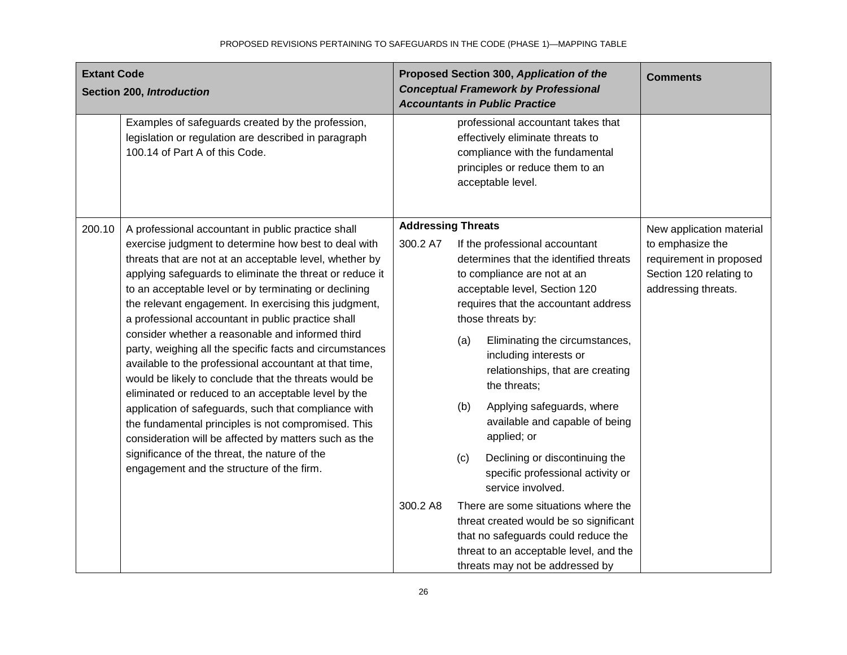| <b>Extant Code</b><br>Section 200, Introduction |                                                                                                                                                                                                                                                                                                                                                                                                                                                                                                                                                                                                                                                                                                                                                                                                                                                                                                                                                                           | Proposed Section 300, Application of the<br><b>Conceptual Framework by Professional</b><br><b>Accountants in Public Practice</b> |                   |                                                                                                                                                                                                                                                                                                                                                                                                                                                                                                                                                                                                                                                                                                       | <b>Comments</b>                                                                                                           |
|-------------------------------------------------|---------------------------------------------------------------------------------------------------------------------------------------------------------------------------------------------------------------------------------------------------------------------------------------------------------------------------------------------------------------------------------------------------------------------------------------------------------------------------------------------------------------------------------------------------------------------------------------------------------------------------------------------------------------------------------------------------------------------------------------------------------------------------------------------------------------------------------------------------------------------------------------------------------------------------------------------------------------------------|----------------------------------------------------------------------------------------------------------------------------------|-------------------|-------------------------------------------------------------------------------------------------------------------------------------------------------------------------------------------------------------------------------------------------------------------------------------------------------------------------------------------------------------------------------------------------------------------------------------------------------------------------------------------------------------------------------------------------------------------------------------------------------------------------------------------------------------------------------------------------------|---------------------------------------------------------------------------------------------------------------------------|
|                                                 | Examples of safeguards created by the profession,<br>legislation or regulation are described in paragraph<br>100.14 of Part A of this Code.                                                                                                                                                                                                                                                                                                                                                                                                                                                                                                                                                                                                                                                                                                                                                                                                                               |                                                                                                                                  |                   | professional accountant takes that<br>effectively eliminate threats to<br>compliance with the fundamental<br>principles or reduce them to an<br>acceptable level.                                                                                                                                                                                                                                                                                                                                                                                                                                                                                                                                     |                                                                                                                           |
| 200.10                                          | A professional accountant in public practice shall<br>exercise judgment to determine how best to deal with<br>threats that are not at an acceptable level, whether by<br>applying safeguards to eliminate the threat or reduce it<br>to an acceptable level or by terminating or declining<br>the relevant engagement. In exercising this judgment,<br>a professional accountant in public practice shall<br>consider whether a reasonable and informed third<br>party, weighing all the specific facts and circumstances<br>available to the professional accountant at that time,<br>would be likely to conclude that the threats would be<br>eliminated or reduced to an acceptable level by the<br>application of safeguards, such that compliance with<br>the fundamental principles is not compromised. This<br>consideration will be affected by matters such as the<br>significance of the threat, the nature of the<br>engagement and the structure of the firm. | <b>Addressing Threats</b><br>300.2 A7<br>300.2 A8                                                                                | (a)<br>(b)<br>(c) | If the professional accountant<br>determines that the identified threats<br>to compliance are not at an<br>acceptable level, Section 120<br>requires that the accountant address<br>those threats by:<br>Eliminating the circumstances,<br>including interests or<br>relationships, that are creating<br>the threats;<br>Applying safeguards, where<br>available and capable of being<br>applied; or<br>Declining or discontinuing the<br>specific professional activity or<br>service involved.<br>There are some situations where the<br>threat created would be so significant<br>that no safeguards could reduce the<br>threat to an acceptable level, and the<br>threats may not be addressed by | New application material<br>to emphasize the<br>requirement in proposed<br>Section 120 relating to<br>addressing threats. |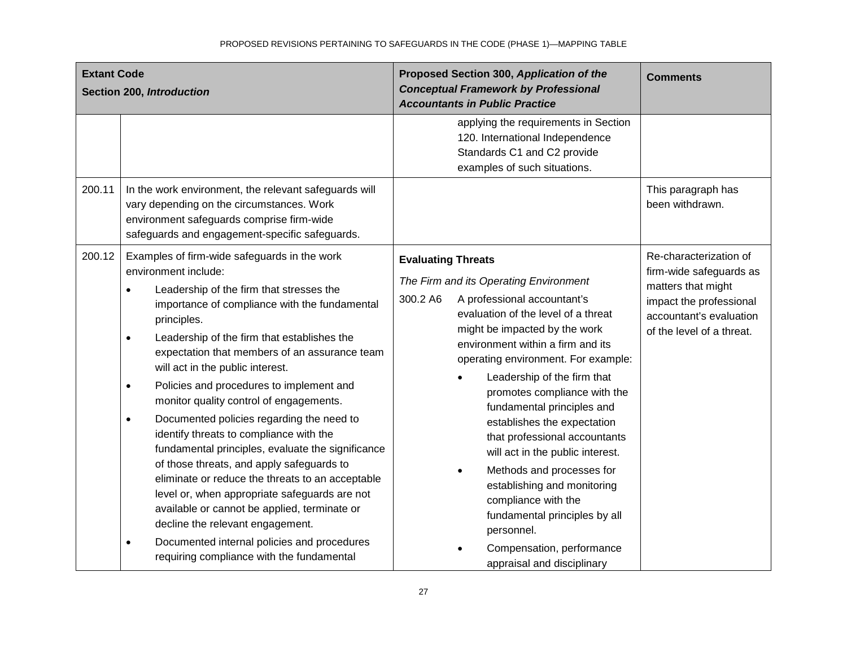| <b>Extant Code</b><br>Section 200, Introduction |                                                                                                                                                                                                                                                                                                                                                                                                                                                                                                                                                                                                                                                                                                                                                                                                                | Proposed Section 300, Application of the<br><b>Conceptual Framework by Professional</b><br><b>Accountants in Public Practice</b>                                                                                                                                                                                                                                                                                                                                                                                                                                                        | <b>Comments</b>                                                                                                                                            |
|-------------------------------------------------|----------------------------------------------------------------------------------------------------------------------------------------------------------------------------------------------------------------------------------------------------------------------------------------------------------------------------------------------------------------------------------------------------------------------------------------------------------------------------------------------------------------------------------------------------------------------------------------------------------------------------------------------------------------------------------------------------------------------------------------------------------------------------------------------------------------|-----------------------------------------------------------------------------------------------------------------------------------------------------------------------------------------------------------------------------------------------------------------------------------------------------------------------------------------------------------------------------------------------------------------------------------------------------------------------------------------------------------------------------------------------------------------------------------------|------------------------------------------------------------------------------------------------------------------------------------------------------------|
|                                                 |                                                                                                                                                                                                                                                                                                                                                                                                                                                                                                                                                                                                                                                                                                                                                                                                                | applying the requirements in Section<br>120. International Independence<br>Standards C1 and C2 provide<br>examples of such situations.                                                                                                                                                                                                                                                                                                                                                                                                                                                  |                                                                                                                                                            |
| 200.11                                          | In the work environment, the relevant safeguards will<br>vary depending on the circumstances. Work<br>environment safeguards comprise firm-wide<br>safeguards and engagement-specific safeguards.                                                                                                                                                                                                                                                                                                                                                                                                                                                                                                                                                                                                              |                                                                                                                                                                                                                                                                                                                                                                                                                                                                                                                                                                                         | This paragraph has<br>been withdrawn.                                                                                                                      |
| 200.12                                          | Examples of firm-wide safeguards in the work<br>environment include:<br>Leadership of the firm that stresses the<br>$\bullet$<br>importance of compliance with the fundamental<br>principles.<br>Leadership of the firm that establishes the<br>$\bullet$<br>expectation that members of an assurance team<br>will act in the public interest.<br>Policies and procedures to implement and<br>$\bullet$<br>monitor quality control of engagements.<br>Documented policies regarding the need to<br>$\bullet$<br>identify threats to compliance with the<br>fundamental principles, evaluate the significance<br>of those threats, and apply safeguards to<br>eliminate or reduce the threats to an acceptable<br>level or, when appropriate safeguards are not<br>available or cannot be applied, terminate or | <b>Evaluating Threats</b><br>The Firm and its Operating Environment<br>300.2 A6<br>A professional accountant's<br>evaluation of the level of a threat<br>might be impacted by the work<br>environment within a firm and its<br>operating environment. For example:<br>Leadership of the firm that<br>promotes compliance with the<br>fundamental principles and<br>establishes the expectation<br>that professional accountants<br>will act in the public interest.<br>Methods and processes for<br>establishing and monitoring<br>compliance with the<br>fundamental principles by all | Re-characterization of<br>firm-wide safeguards as<br>matters that might<br>impact the professional<br>accountant's evaluation<br>of the level of a threat. |
|                                                 | decline the relevant engagement.<br>Documented internal policies and procedures<br>$\bullet$<br>requiring compliance with the fundamental                                                                                                                                                                                                                                                                                                                                                                                                                                                                                                                                                                                                                                                                      | personnel.<br>Compensation, performance<br>appraisal and disciplinary                                                                                                                                                                                                                                                                                                                                                                                                                                                                                                                   |                                                                                                                                                            |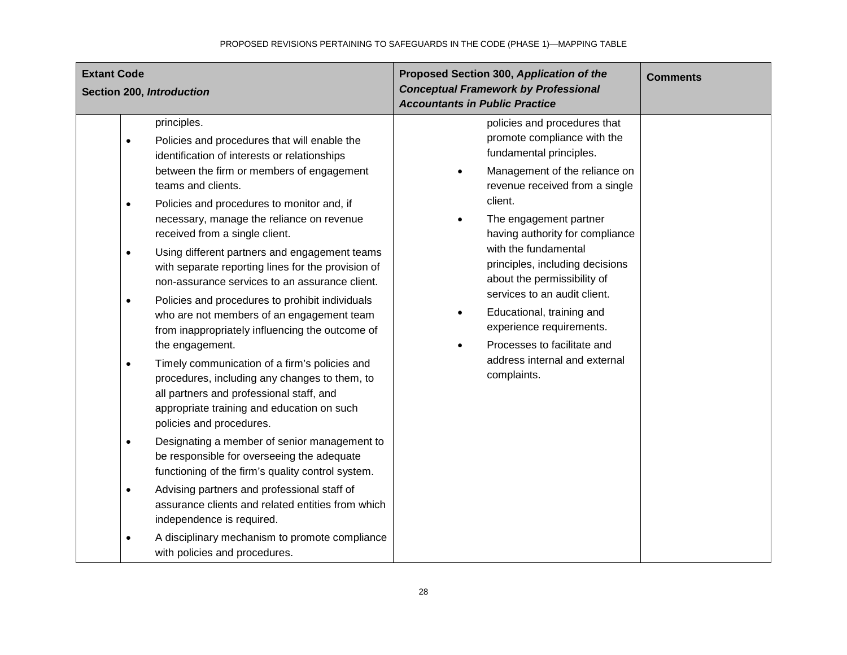| <b>Extant Code</b><br>Section 200, Introduction                                                                                                                                                                                                                                                                                                                                                                                                                                                                                                                                                                                                                                                                                                                                                                                                                                                                                                                                                                                                                                                                                                                                                                                                                                                                                      | Proposed Section 300, Application of the<br><b>Conceptual Framework by Professional</b><br><b>Accountants in Public Practice</b>                                                                                                                                                                                                                                                                                                                                                                                              | <b>Comments</b> |
|--------------------------------------------------------------------------------------------------------------------------------------------------------------------------------------------------------------------------------------------------------------------------------------------------------------------------------------------------------------------------------------------------------------------------------------------------------------------------------------------------------------------------------------------------------------------------------------------------------------------------------------------------------------------------------------------------------------------------------------------------------------------------------------------------------------------------------------------------------------------------------------------------------------------------------------------------------------------------------------------------------------------------------------------------------------------------------------------------------------------------------------------------------------------------------------------------------------------------------------------------------------------------------------------------------------------------------------|-------------------------------------------------------------------------------------------------------------------------------------------------------------------------------------------------------------------------------------------------------------------------------------------------------------------------------------------------------------------------------------------------------------------------------------------------------------------------------------------------------------------------------|-----------------|
| principles.<br>Policies and procedures that will enable the<br>$\bullet$<br>identification of interests or relationships<br>between the firm or members of engagement<br>teams and clients.<br>Policies and procedures to monitor and, if<br>$\bullet$<br>necessary, manage the reliance on revenue<br>received from a single client.<br>Using different partners and engagement teams<br>$\bullet$<br>with separate reporting lines for the provision of<br>non-assurance services to an assurance client.<br>Policies and procedures to prohibit individuals<br>$\bullet$<br>who are not members of an engagement team<br>from inappropriately influencing the outcome of<br>the engagement.<br>Timely communication of a firm's policies and<br>$\bullet$<br>procedures, including any changes to them, to<br>all partners and professional staff, and<br>appropriate training and education on such<br>policies and procedures.<br>Designating a member of senior management to<br>$\bullet$<br>be responsible for overseeing the adequate<br>functioning of the firm's quality control system.<br>Advising partners and professional staff of<br>$\bullet$<br>assurance clients and related entities from which<br>independence is required.<br>A disciplinary mechanism to promote compliance<br>with policies and procedures. | policies and procedures that<br>promote compliance with the<br>fundamental principles.<br>Management of the reliance on<br>revenue received from a single<br>client.<br>The engagement partner<br>$\bullet$<br>having authority for compliance<br>with the fundamental<br>principles, including decisions<br>about the permissibility of<br>services to an audit client.<br>Educational, training and<br>$\bullet$<br>experience requirements.<br>Processes to facilitate and<br>address internal and external<br>complaints. |                 |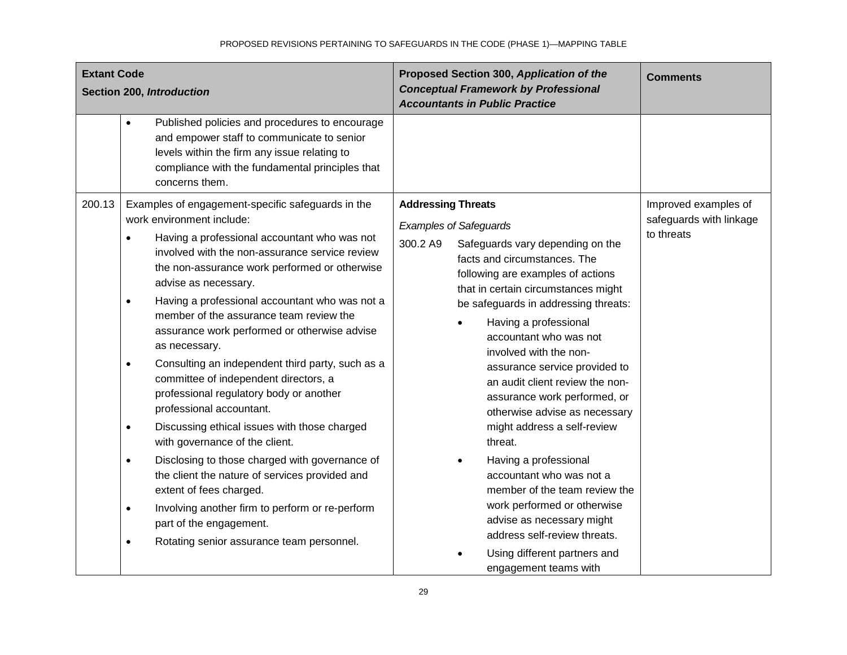| <b>Extant Code</b><br>Section 200, Introduction                                                                                                                                                                                                                                                                                                                                                                                                                                                                                                                                                                                                                                                                                                                                                                                                                                                                                                                                                                                 | Proposed Section 300, Application of the<br><b>Conceptual Framework by Professional</b><br><b>Accountants in Public Practice</b>                                                                                                                                                                                                                                                                                                                                                                                                                                                                                                                                                                                                                                      | <b>Comments</b>                                               |
|---------------------------------------------------------------------------------------------------------------------------------------------------------------------------------------------------------------------------------------------------------------------------------------------------------------------------------------------------------------------------------------------------------------------------------------------------------------------------------------------------------------------------------------------------------------------------------------------------------------------------------------------------------------------------------------------------------------------------------------------------------------------------------------------------------------------------------------------------------------------------------------------------------------------------------------------------------------------------------------------------------------------------------|-----------------------------------------------------------------------------------------------------------------------------------------------------------------------------------------------------------------------------------------------------------------------------------------------------------------------------------------------------------------------------------------------------------------------------------------------------------------------------------------------------------------------------------------------------------------------------------------------------------------------------------------------------------------------------------------------------------------------------------------------------------------------|---------------------------------------------------------------|
| Published policies and procedures to encourage<br>$\bullet$<br>and empower staff to communicate to senior<br>levels within the firm any issue relating to<br>compliance with the fundamental principles that<br>concerns them.                                                                                                                                                                                                                                                                                                                                                                                                                                                                                                                                                                                                                                                                                                                                                                                                  |                                                                                                                                                                                                                                                                                                                                                                                                                                                                                                                                                                                                                                                                                                                                                                       |                                                               |
| 200.13<br>Examples of engagement-specific safeguards in the<br>work environment include:<br>Having a professional accountant who was not<br>$\bullet$<br>involved with the non-assurance service review<br>the non-assurance work performed or otherwise<br>advise as necessary.<br>Having a professional accountant who was not a<br>$\bullet$<br>member of the assurance team review the<br>assurance work performed or otherwise advise<br>as necessary.<br>Consulting an independent third party, such as a<br>$\bullet$<br>committee of independent directors, a<br>professional regulatory body or another<br>professional accountant.<br>Discussing ethical issues with those charged<br>$\bullet$<br>with governance of the client.<br>Disclosing to those charged with governance of<br>the client the nature of services provided and<br>extent of fees charged.<br>Involving another firm to perform or re-perform<br>$\bullet$<br>part of the engagement.<br>Rotating senior assurance team personnel.<br>$\bullet$ | <b>Addressing Threats</b><br><b>Examples of Safeguards</b><br>300.2 A9<br>Safeguards vary depending on the<br>facts and circumstances. The<br>following are examples of actions<br>that in certain circumstances might<br>be safeguards in addressing threats:<br>Having a professional<br>accountant who was not<br>involved with the non-<br>assurance service provided to<br>an audit client review the non-<br>assurance work performed, or<br>otherwise advise as necessary<br>might address a self-review<br>threat.<br>Having a professional<br>accountant who was not a<br>member of the team review the<br>work performed or otherwise<br>advise as necessary might<br>address self-review threats.<br>Using different partners and<br>engagement teams with | Improved examples of<br>safeguards with linkage<br>to threats |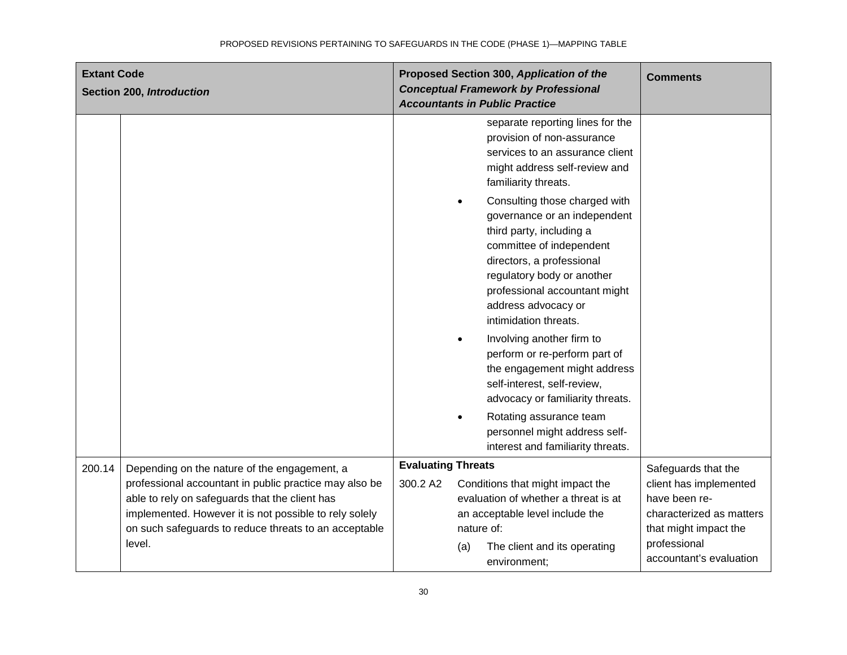| <b>Extant Code</b> | Section 200, Introduction                                                                                                                                                                                                                                                             |          | Proposed Section 300, Application of the<br><b>Comments</b><br><b>Conceptual Framework by Professional</b><br><b>Accountants in Public Practice</b>                                                                                                                                                                                                                             |  |
|--------------------|---------------------------------------------------------------------------------------------------------------------------------------------------------------------------------------------------------------------------------------------------------------------------------------|----------|---------------------------------------------------------------------------------------------------------------------------------------------------------------------------------------------------------------------------------------------------------------------------------------------------------------------------------------------------------------------------------|--|
|                    |                                                                                                                                                                                                                                                                                       |          | separate reporting lines for the<br>provision of non-assurance<br>services to an assurance client<br>might address self-review and<br>familiarity threats.                                                                                                                                                                                                                      |  |
|                    |                                                                                                                                                                                                                                                                                       |          | Consulting those charged with<br>$\bullet$<br>governance or an independent<br>third party, including a<br>committee of independent<br>directors, a professional<br>regulatory body or another<br>professional accountant might<br>address advocacy or<br>intimidation threats.                                                                                                  |  |
|                    |                                                                                                                                                                                                                                                                                       |          | Involving another firm to<br>$\bullet$<br>perform or re-perform part of<br>the engagement might address<br>self-interest, self-review,<br>advocacy or familiarity threats.                                                                                                                                                                                                      |  |
|                    |                                                                                                                                                                                                                                                                                       |          | Rotating assurance team<br>$\bullet$<br>personnel might address self-<br>interest and familiarity threats.                                                                                                                                                                                                                                                                      |  |
| 200.14             | Depending on the nature of the engagement, a<br>professional accountant in public practice may also be<br>able to rely on safeguards that the client has<br>implemented. However it is not possible to rely solely<br>on such safeguards to reduce threats to an acceptable<br>level. | 300.2 A2 | <b>Evaluating Threats</b><br>Safeguards that the<br>Conditions that might impact the<br>client has implemented<br>evaluation of whether a threat is at<br>have been re-<br>an acceptable level include the<br>characterized as matters<br>nature of:<br>that might impact the<br>professional<br>The client and its operating<br>(a)<br>accountant's evaluation<br>environment; |  |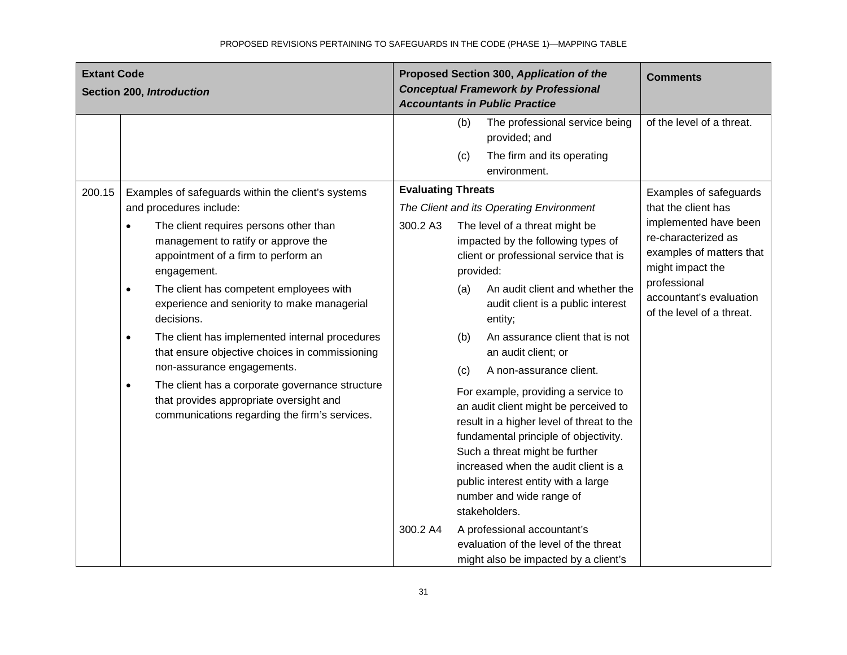| <b>Extant Code</b><br>Section 200, Introduction |                                                                                                                                                                                                                                                                                                                                                                                                                                                                                                                                                                                                             | Proposed Section 300, Application of the<br><b>Conceptual Framework by Professional</b><br><b>Accountants in Public Practice</b>                                                                                                                                                                                                                                                                                                                                                                                                                                                                                                                                                                                     | <b>Comments</b>                                                                                                                                                                             |
|-------------------------------------------------|-------------------------------------------------------------------------------------------------------------------------------------------------------------------------------------------------------------------------------------------------------------------------------------------------------------------------------------------------------------------------------------------------------------------------------------------------------------------------------------------------------------------------------------------------------------------------------------------------------------|----------------------------------------------------------------------------------------------------------------------------------------------------------------------------------------------------------------------------------------------------------------------------------------------------------------------------------------------------------------------------------------------------------------------------------------------------------------------------------------------------------------------------------------------------------------------------------------------------------------------------------------------------------------------------------------------------------------------|---------------------------------------------------------------------------------------------------------------------------------------------------------------------------------------------|
| 200.15                                          | Examples of safeguards within the client's systems                                                                                                                                                                                                                                                                                                                                                                                                                                                                                                                                                          | (b)<br>The professional service being<br>provided; and<br>The firm and its operating<br>(c)<br>environment.<br><b>Evaluating Threats</b>                                                                                                                                                                                                                                                                                                                                                                                                                                                                                                                                                                             | of the level of a threat.<br>Examples of safeguards                                                                                                                                         |
|                                                 | and procedures include:<br>The client requires persons other than<br>$\bullet$<br>management to ratify or approve the<br>appointment of a firm to perform an<br>engagement.<br>The client has competent employees with<br>$\bullet$<br>experience and seniority to make managerial<br>decisions.<br>The client has implemented internal procedures<br>$\bullet$<br>that ensure objective choices in commissioning<br>non-assurance engagements.<br>The client has a corporate governance structure<br>$\bullet$<br>that provides appropriate oversight and<br>communications regarding the firm's services. | The Client and its Operating Environment<br>300.2 A3<br>The level of a threat might be<br>impacted by the following types of<br>client or professional service that is<br>provided:<br>An audit client and whether the<br>(a)<br>audit client is a public interest<br>entity;<br>An assurance client that is not<br>(b)<br>an audit client; or<br>A non-assurance client.<br>(c)<br>For example, providing a service to<br>an audit client might be perceived to<br>result in a higher level of threat to the<br>fundamental principle of objectivity.<br>Such a threat might be further<br>increased when the audit client is a<br>public interest entity with a large<br>number and wide range of<br>stakeholders. | that the client has<br>implemented have been<br>re-characterized as<br>examples of matters that<br>might impact the<br>professional<br>accountant's evaluation<br>of the level of a threat. |
|                                                 |                                                                                                                                                                                                                                                                                                                                                                                                                                                                                                                                                                                                             | 300.2 A4<br>A professional accountant's<br>evaluation of the level of the threat<br>might also be impacted by a client's                                                                                                                                                                                                                                                                                                                                                                                                                                                                                                                                                                                             |                                                                                                                                                                                             |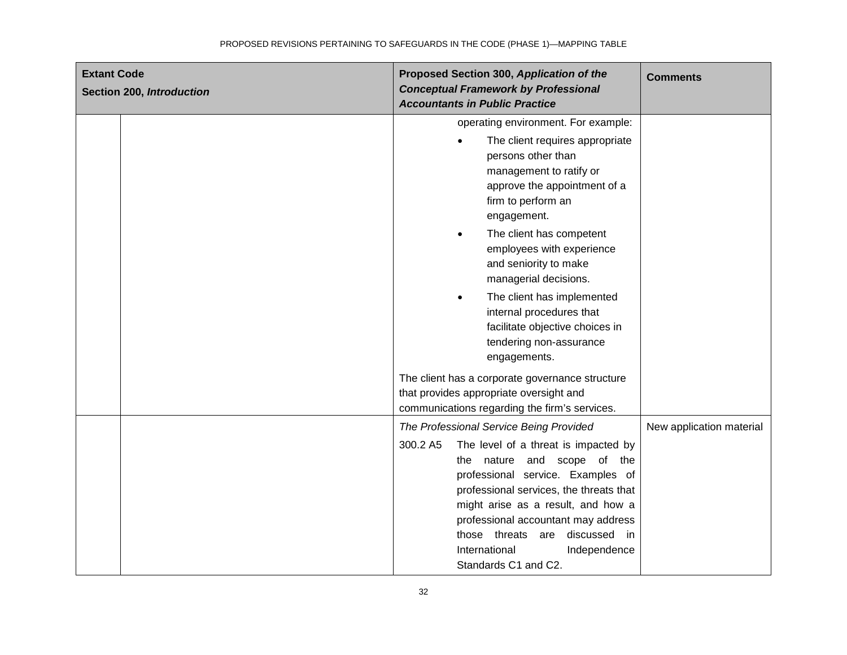| <b>Extant Code</b><br>Section 200, Introduction | Proposed Section 300, Application of the<br><b>Conceptual Framework by Professional</b><br><b>Accountants in Public Practice</b>                                                                                                                                                                                                                                                                                                                                                       | <b>Comments</b>          |
|-------------------------------------------------|----------------------------------------------------------------------------------------------------------------------------------------------------------------------------------------------------------------------------------------------------------------------------------------------------------------------------------------------------------------------------------------------------------------------------------------------------------------------------------------|--------------------------|
|                                                 | operating environment. For example:<br>The client requires appropriate<br>$\bullet$<br>persons other than<br>management to ratify or<br>approve the appointment of a<br>firm to perform an<br>engagement.<br>The client has competent<br>$\bullet$<br>employees with experience<br>and seniority to make<br>managerial decisions.<br>The client has implemented<br>$\bullet$<br>internal procedures that<br>facilitate objective choices in<br>tendering non-assurance<br>engagements. |                          |
|                                                 | The client has a corporate governance structure<br>that provides appropriate oversight and<br>communications regarding the firm's services.                                                                                                                                                                                                                                                                                                                                            |                          |
|                                                 | The Professional Service Being Provided<br>The level of a threat is impacted by<br>300.2 A5<br>and scope of the<br>nature<br>the<br>professional service. Examples of<br>professional services, the threats that<br>might arise as a result, and how a<br>professional accountant may address<br>those threats are discussed in<br>International<br>Independence<br>Standards C1 and C2.                                                                                               | New application material |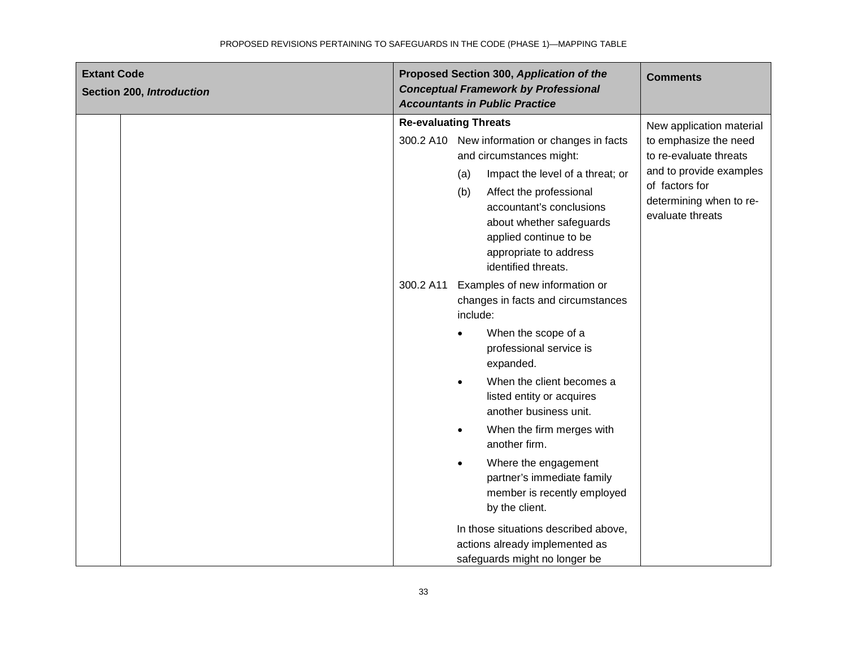| <b>Extant Code</b><br>Section 200, Introduction | Proposed Section 300, Application of the<br><b>Conceptual Framework by Professional</b><br><b>Accountants in Public Practice</b>                                                                                                                                                                                                                                                                                                             | <b>Comments</b>                                                                                                                                                         |
|-------------------------------------------------|----------------------------------------------------------------------------------------------------------------------------------------------------------------------------------------------------------------------------------------------------------------------------------------------------------------------------------------------------------------------------------------------------------------------------------------------|-------------------------------------------------------------------------------------------------------------------------------------------------------------------------|
|                                                 | <b>Re-evaluating Threats</b><br>300.2 A10 New information or changes in facts<br>and circumstances might:<br>Impact the level of a threat; or<br>(a)<br>Affect the professional<br>(b)<br>accountant's conclusions<br>about whether safeguards<br>applied continue to be<br>appropriate to address<br>identified threats.                                                                                                                    | New application material<br>to emphasize the need<br>to re-evaluate threats<br>and to provide examples<br>of factors for<br>determining when to re-<br>evaluate threats |
|                                                 | 300.2 A11<br>Examples of new information or<br>changes in facts and circumstances<br>include:<br>When the scope of a<br>professional service is<br>expanded.<br>When the client becomes a<br>$\bullet$<br>listed entity or acquires<br>another business unit.<br>When the firm merges with<br>$\bullet$<br>another firm.<br>Where the engagement<br>$\bullet$<br>partner's immediate family<br>member is recently employed<br>by the client. |                                                                                                                                                                         |
|                                                 | In those situations described above,<br>actions already implemented as<br>safeguards might no longer be                                                                                                                                                                                                                                                                                                                                      |                                                                                                                                                                         |